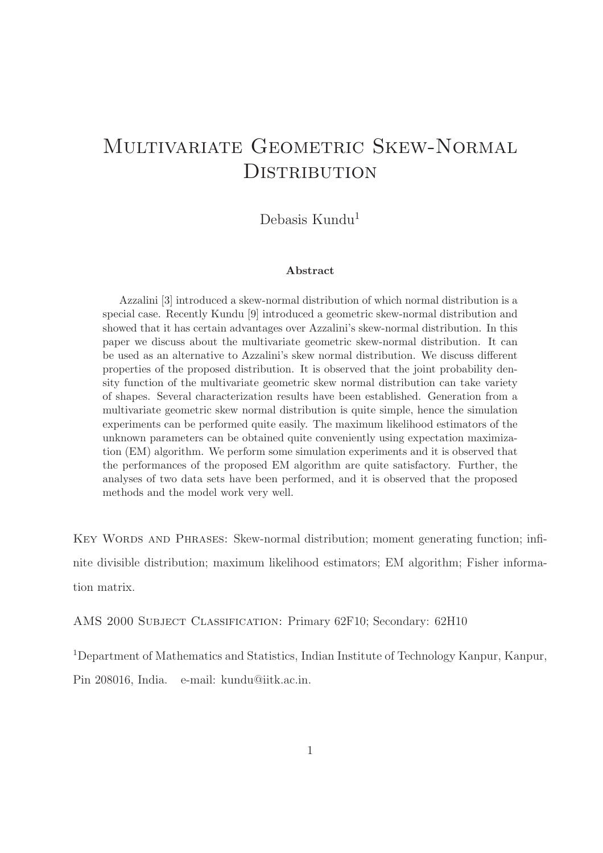# MULTIVARIATE GEOMETRIC SKEW-NORMAL **DISTRIBUTION**

Debasis Kundu<sup>1</sup>

#### Abstract

Azzalini [3] introduced a skew-normal distribution of which normal distribution is a special case. Recently Kundu [9] introduced a geometric skew-normal distribution and showed that it has certain advantages over Azzalini's skew-normal distribution. In this paper we discuss about the multivariate geometric skew-normal distribution. It can be used as an alternative to Azzalini's skew normal distribution. We discuss different properties of the proposed distribution. It is observed that the joint probability density function of the multivariate geometric skew normal distribution can take variety of shapes. Several characterization results have been established. Generation from a multivariate geometric skew normal distribution is quite simple, hence the simulation experiments can be performed quite easily. The maximum likelihood estimators of the unknown parameters can be obtained quite conveniently using expectation maximization (EM) algorithm. We perform some simulation experiments and it is observed that the performances of the proposed EM algorithm are quite satisfactory. Further, the analyses of two data sets have been performed, and it is observed that the proposed methods and the model work very well.

KEY WORDS AND PHRASES: Skew-normal distribution; moment generating function; infinite divisible distribution; maximum likelihood estimators; EM algorithm; Fisher information matrix.

AMS 2000 Subject Classification: Primary 62F10; Secondary: 62H10

<sup>1</sup>Department of Mathematics and Statistics, Indian Institute of Technology Kanpur, Kanpur, Pin 208016, India. e-mail: kundu@iitk.ac.in.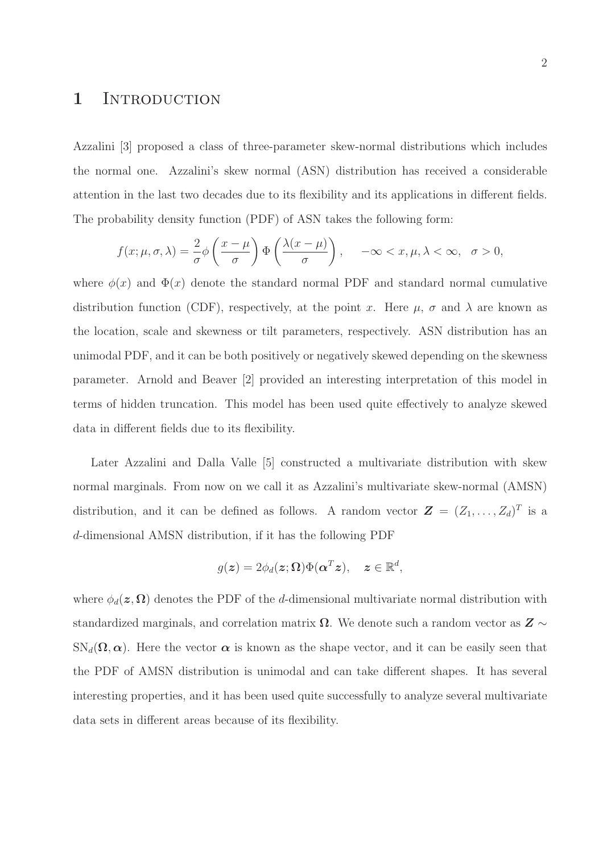#### 1 INTRODUCTION

Azzalini [3] proposed a class of three-parameter skew-normal distributions which includes the normal one. Azzalini's skew normal (ASN) distribution has received a considerable attention in the last two decades due to its flexibility and its applications in different fields. The probability density function (PDF) of ASN takes the following form:

$$
f(x; \mu, \sigma, \lambda) = \frac{2}{\sigma} \phi \left( \frac{x - \mu}{\sigma} \right) \Phi \left( \frac{\lambda(x - \mu)}{\sigma} \right), \quad -\infty < x, \mu, \lambda < \infty, \quad \sigma > 0,
$$

where  $\phi(x)$  and  $\Phi(x)$  denote the standard normal PDF and standard normal cumulative distribution function (CDF), respectively, at the point x. Here  $\mu$ ,  $\sigma$  and  $\lambda$  are known as the location, scale and skewness or tilt parameters, respectively. ASN distribution has an unimodal PDF, and it can be both positively or negatively skewed depending on the skewness parameter. Arnold and Beaver [2] provided an interesting interpretation of this model in terms of hidden truncation. This model has been used quite effectively to analyze skewed data in different fields due to its flexibility.

Later Azzalini and Dalla Valle [5] constructed a multivariate distribution with skew normal marginals. From now on we call it as Azzalini's multivariate skew-normal (AMSN) distribution, and it can be defined as follows. A random vector  $\mathbf{Z} = (Z_1, \ldots, Z_d)^T$  is a d-dimensional AMSN distribution, if it has the following PDF

$$
g(\boldsymbol{z}) = 2\phi_d(\boldsymbol{z}; \boldsymbol{\Omega}) \Phi(\boldsymbol{\alpha}^T \boldsymbol{z}), \quad \boldsymbol{z} \in \mathbb{R}^d
$$

,

where  $\phi_d(z, \Omega)$  denotes the PDF of the d-dimensional multivariate normal distribution with standardized marginals, and correlation matrix  $\Omega$ . We denote such a random vector as  $Z \sim$  $SN_d(\Omega, \alpha)$ . Here the vector  $\alpha$  is known as the shape vector, and it can be easily seen that the PDF of AMSN distribution is unimodal and can take different shapes. It has several interesting properties, and it has been used quite successfully to analyze several multivariate data sets in different areas because of its flexibility.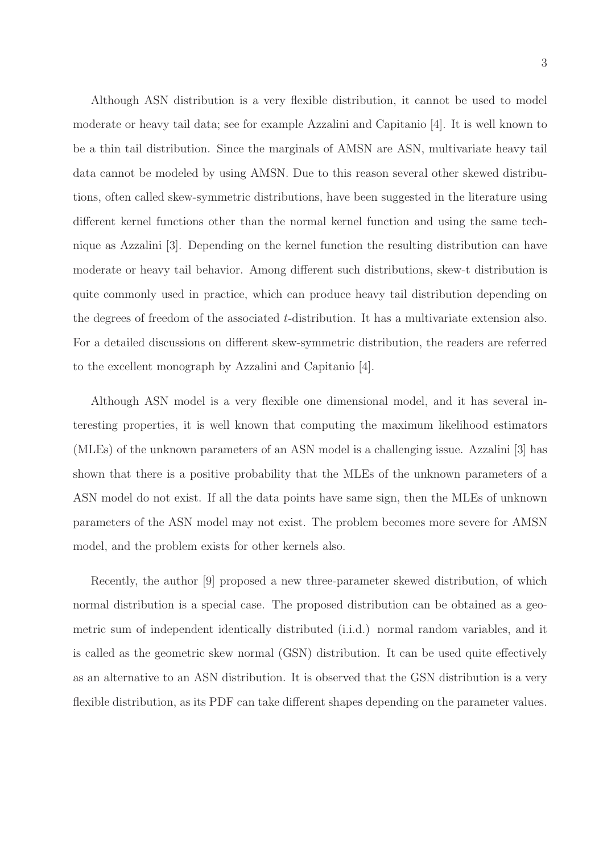Although ASN distribution is a very flexible distribution, it cannot be used to model moderate or heavy tail data; see for example Azzalini and Capitanio [4]. It is well known to be a thin tail distribution. Since the marginals of AMSN are ASN, multivariate heavy tail data cannot be modeled by using AMSN. Due to this reason several other skewed distributions, often called skew-symmetric distributions, have been suggested in the literature using different kernel functions other than the normal kernel function and using the same technique as Azzalini [3]. Depending on the kernel function the resulting distribution can have moderate or heavy tail behavior. Among different such distributions, skew-t distribution is quite commonly used in practice, which can produce heavy tail distribution depending on the degrees of freedom of the associated t-distribution. It has a multivariate extension also. For a detailed discussions on different skew-symmetric distribution, the readers are referred to the excellent monograph by Azzalini and Capitanio [4].

Although ASN model is a very flexible one dimensional model, and it has several interesting properties, it is well known that computing the maximum likelihood estimators (MLEs) of the unknown parameters of an ASN model is a challenging issue. Azzalini [3] has shown that there is a positive probability that the MLEs of the unknown parameters of a ASN model do not exist. If all the data points have same sign, then the MLEs of unknown parameters of the ASN model may not exist. The problem becomes more severe for AMSN model, and the problem exists for other kernels also.

Recently, the author [9] proposed a new three-parameter skewed distribution, of which normal distribution is a special case. The proposed distribution can be obtained as a geometric sum of independent identically distributed (i.i.d.) normal random variables, and it is called as the geometric skew normal (GSN) distribution. It can be used quite effectively as an alternative to an ASN distribution. It is observed that the GSN distribution is a very flexible distribution, as its PDF can take different shapes depending on the parameter values.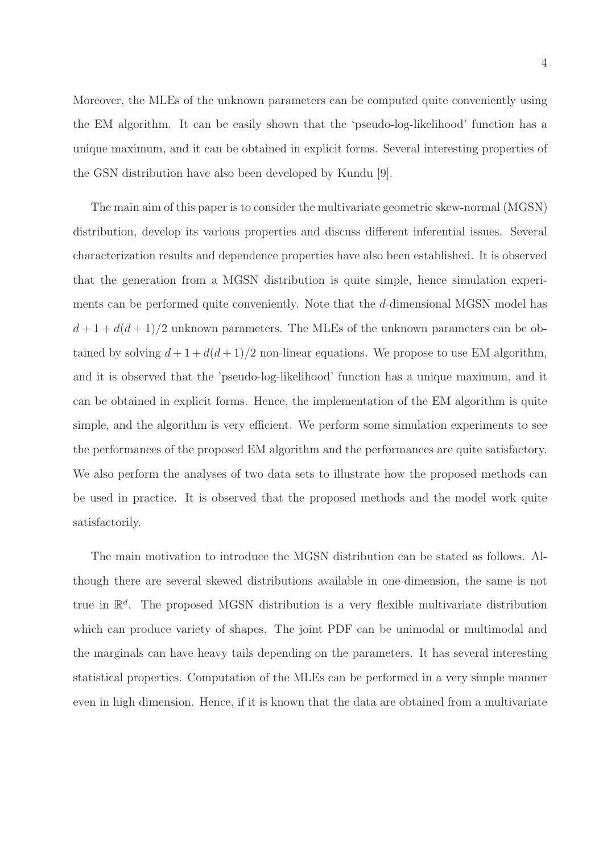4

Moreover, the MLEs of the unknown parameters can be computed quite conveniently using the EM algorithm. It can be easily shown that the 'pseudo-log-likelihood' function has a unique maximum, and it can be obtained in explicit forms. Several interesting properties of the GSN distribution have also been developed by Kundu [9].

The main aim of this paper is to consider the multivariate geometric skew-normal (MGSN) distribution, develop its various properties and discuss different inferential issues. Several characterization results and dependence properties have also been established. It is observed that the generation from a MGSN distribution is quite simple, hence simulation experiments can be performed quite conveniently. Note that the d-dimensional MGSN model has  $d+1+d(d+1)/2$  unknown parameters. The MLEs of the unknown parameters can be obtained by solving  $d+1+d(d+1)/2$  non-linear equations. We propose to use EM algorithm, and it is observed that the 'pseudo-log-likelihood' function has a unique maximum, and it can be obtained in explicit forms. Hence, the implementation of the EM algorithm is quite simple, and the algorithm is very efficient. We perform some simulation experiments to see the performances of the proposed EM algorithm and the performances are quite satisfactory. We also perform the analyses of two data sets to illustrate how the proposed methods can be used in practice. It is observed that the proposed methods and the model work quite satisfactorily.

The main motivation to introduce the MGSN distribution can be stated as follows. Although there are several skewed distributions available in one-dimension, the same is not true in  $\mathbb{R}^d$ . The proposed MGSN distribution is a very flexible multivariate distribution which can produce variety of shapes. The joint PDF can be unimodal or multimodal and the marginals can have heavy tails depending on the parameters. It has several interesting statistical properties. Computation of the MLEs can be performed in a very simple manner even in high dimension. Hence, if it is known that the data are obtained from a multivariate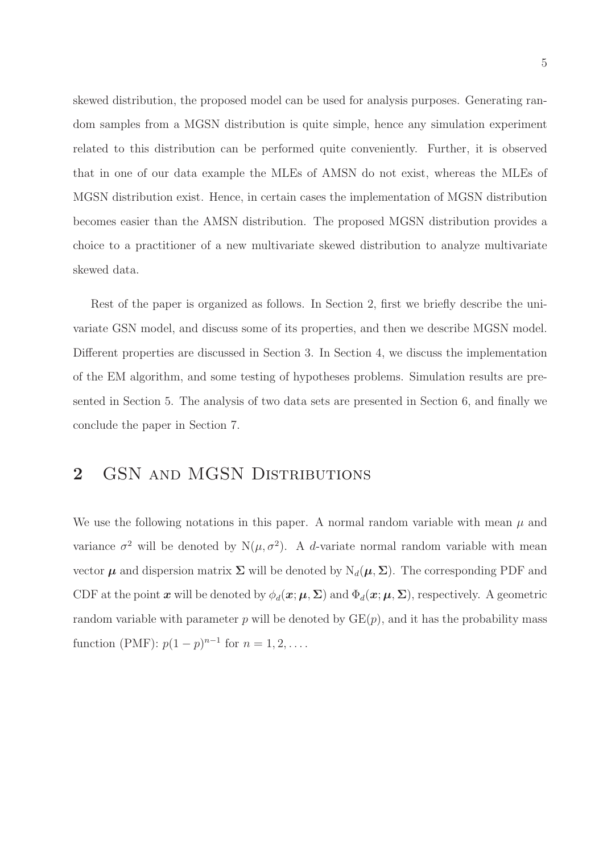skewed distribution, the proposed model can be used for analysis purposes. Generating random samples from a MGSN distribution is quite simple, hence any simulation experiment related to this distribution can be performed quite conveniently. Further, it is observed that in one of our data example the MLEs of AMSN do not exist, whereas the MLEs of MGSN distribution exist. Hence, in certain cases the implementation of MGSN distribution becomes easier than the AMSN distribution. The proposed MGSN distribution provides a choice to a practitioner of a new multivariate skewed distribution to analyze multivariate skewed data.

Rest of the paper is organized as follows. In Section 2, first we briefly describe the univariate GSN model, and discuss some of its properties, and then we describe MGSN model. Different properties are discussed in Section 3. In Section 4, we discuss the implementation of the EM algorithm, and some testing of hypotheses problems. Simulation results are presented in Section 5. The analysis of two data sets are presented in Section 6, and finally we conclude the paper in Section 7.

## 2 GSN AND MGSN DISTRIBUTIONS

We use the following notations in this paper. A normal random variable with mean  $\mu$  and variance  $\sigma^2$  will be denoted by  $N(\mu, \sigma^2)$ . A d-variate normal random variable with mean vector  $\mu$  and dispersion matrix  $\Sigma$  will be denoted by  $N_d(\mu, \Sigma)$ . The corresponding PDF and CDF at the point x will be denoted by  $\phi_d(x;\mu,\Sigma)$  and  $\Phi_d(x;\mu,\Sigma)$ , respectively. A geometric random variable with parameter p will be denoted by  $GE(p)$ , and it has the probability mass function (PMF):  $p(1-p)^{n-1}$  for  $n = 1, 2, ...$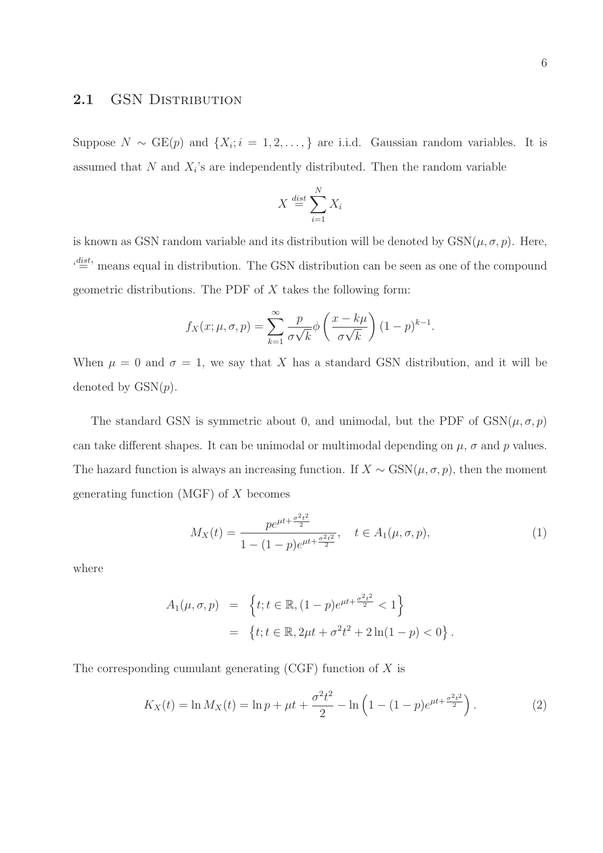#### 2.1 GSN DISTRIBUTION

Suppose  $N \sim \text{GE}(p)$  and  $\{X_i; i = 1, 2, ..., \}$  are i.i.d. Gaussian random variables. It is assumed that N and  $X_i$ 's are independently distributed. Then the random variable

$$
X \stackrel{\text{dist}}{=} \sum_{i=1}^{N} X_i
$$

is known as GSN random variable and its distribution will be denoted by  $GSN(\mu, \sigma, p)$ . Here,  $\mathcal{C}^{\text{dist}}$  means equal in distribution. The GSN distribution can be seen as one of the compound geometric distributions. The PDF of  $X$  takes the following form:

$$
f_X(x; \mu, \sigma, p) = \sum_{k=1}^{\infty} \frac{p}{\sigma \sqrt{k}} \phi \left( \frac{x - k\mu}{\sigma \sqrt{k}} \right) (1 - p)^{k-1}.
$$

When  $\mu = 0$  and  $\sigma = 1$ , we say that X has a standard GSN distribution, and it will be denoted by  $GSN(p)$ .

The standard GSN is symmetric about 0, and unimodal, but the PDF of  $GSN(\mu, \sigma, p)$ can take different shapes. It can be unimodal or multimodal depending on  $\mu$ ,  $\sigma$  and p values. The hazard function is always an increasing function. If  $X \sim \text{GSN}(\mu, \sigma, p)$ , then the moment generating function  $(MGF)$  of X becomes

$$
M_X(t) = \frac{p e^{\mu t + \frac{\sigma^2 t^2}{2}}}{1 - (1 - p)e^{\mu t + \frac{\sigma^2 t^2}{2}}}, \quad t \in A_1(\mu, \sigma, p),
$$
 (1)

where

$$
A_1(\mu, \sigma, p) = \left\{ t; t \in \mathbb{R}, (1 - p)e^{\mu t + \frac{\sigma^2 t^2}{2}} < 1 \right\}
$$
  
= 
$$
\left\{ t; t \in \mathbb{R}, 2\mu t + \sigma^2 t^2 + 2\ln(1 - p) < 0 \right\}.
$$

The corresponding cumulant generating  $(CGF)$  function of X is

$$
K_X(t) = \ln M_X(t) = \ln p + \mu t + \frac{\sigma^2 t^2}{2} - \ln \left( 1 - (1 - p)e^{\mu t + \frac{\sigma^2 t^2}{2}} \right). \tag{2}
$$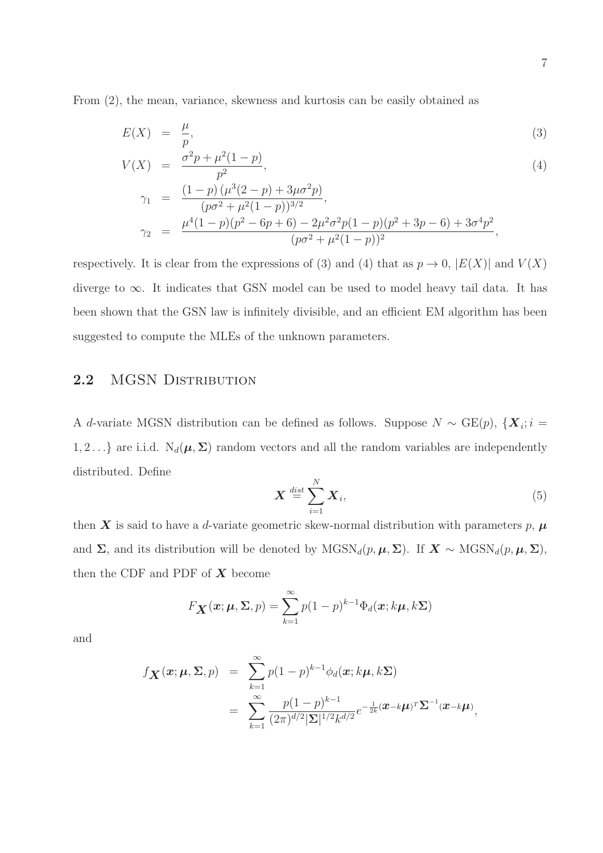From (2), the mean, variance, skewness and kurtosis can be easily obtained as

$$
E(X) = \frac{\mu}{p},\tag{3}
$$

$$
V(X) = \frac{\sigma^2 p + \mu^2 (1 - p)}{p^2},\tag{4}
$$

$$
\gamma_1 = \frac{(1-p) (\mu^3 (2-p) + 3\mu \sigma^2 p)}{(p\sigma^2 + \mu^2 (1-p))^{3/2}},
$$
  
\n
$$
\gamma_2 = \frac{\mu^4 (1-p) (p^2 - 6p + 6) - 2\mu^2 \sigma^2 p (1-p) (p^2 + 3p - 6) + 3\sigma^4 p^2}{(p\sigma^2 + \mu^2 (1-p))^2},
$$

respectively. It is clear from the expressions of (3) and (4) that as  $p \to 0$ ,  $|E(X)|$  and  $V(X)$ diverge to  $\infty$ . It indicates that GSN model can be used to model heavy tail data. It has been shown that the GSN law is infinitely divisible, and an efficient EM algorithm has been suggested to compute the MLEs of the unknown parameters.

#### 2.2 MGSN DISTRIBUTION

A d-variate MGSN distribution can be defined as follows. Suppose  $N \sim \text{GE}(p)$ ,  $\{X_i; i =$ 1, 2... } are i.i.d.  $N_d(\mu, \Sigma)$  random vectors and all the random variables are independently distributed. Define

$$
\boldsymbol{X} \stackrel{dist}{=} \sum_{i=1}^{N} \boldsymbol{X}_i,\tag{5}
$$

then X is said to have a d-variate geometric skew-normal distribution with parameters p,  $\mu$ and  $\Sigma$ , and its distribution will be denoted by MGSN<sub>d</sub>(p,  $\mu$ ,  $\Sigma$ ). If  $X \sim \text{MGSN}_d(p, \mu, \Sigma)$ , then the CDF and PDF of  $X$  become

$$
F_{\mathbf{X}}(\mathbf{x}; \boldsymbol{\mu}, \boldsymbol{\Sigma}, p) = \sum_{k=1}^{\infty} p(1-p)^{k-1} \Phi_d(\mathbf{x}; k\boldsymbol{\mu}, k\boldsymbol{\Sigma})
$$

and

$$
f_{\mathbf{X}}(\boldsymbol{x}; \boldsymbol{\mu}, \boldsymbol{\Sigma}, p) = \sum_{k=1}^{\infty} p(1-p)^{k-1} \phi_d(\boldsymbol{x}; k\boldsymbol{\mu}, k\boldsymbol{\Sigma})
$$
  
= 
$$
\sum_{k=1}^{\infty} \frac{p(1-p)^{k-1}}{(2\pi)^{d/2} |\boldsymbol{\Sigma}|^{1/2} k^{d/2}} e^{-\frac{1}{2k} (\boldsymbol{x} - k\boldsymbol{\mu})^T \boldsymbol{\Sigma}^{-1} (\boldsymbol{x} - k\boldsymbol{\mu})},
$$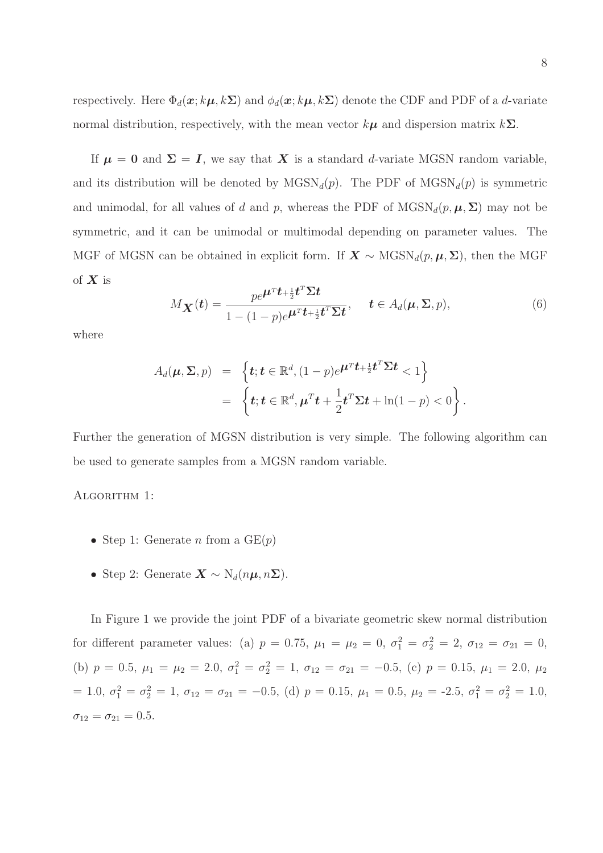respectively. Here  $\Phi_d(\mathbf{x}; k\mu, k\Sigma)$  and  $\phi_d(\mathbf{x}; k\mu, k\Sigma)$  denote the CDF and PDF of a d-variate normal distribution, respectively, with the mean vector  $k\mu$  and dispersion matrix  $k\Sigma$ .

If  $\mu = 0$  and  $\Sigma = I$ , we say that X is a standard d-variate MGSN random variable, and its distribution will be denoted by  $MGSN_d(p)$ . The PDF of  $MGSN_d(p)$  is symmetric and unimodal, for all values of d and p, whereas the PDF of  $MGSN_d(p, \mu, \Sigma)$  may not be symmetric, and it can be unimodal or multimodal depending on parameter values. The MGF of MGSN can be obtained in explicit form. If  $X \sim \text{MGSN}_d(p, \mu, \Sigma)$ , then the MGF of  $X$  is

$$
M_{\mathbf{X}}(t) = \frac{pe^{\boldsymbol{\mu}^T t + \frac{1}{2}t^T \boldsymbol{\Sigma} t}}{1 - (1 - p)e^{\boldsymbol{\mu}^T t + \frac{1}{2}t^T \boldsymbol{\Sigma} t}}, \quad t \in A_d(\boldsymbol{\mu}, \boldsymbol{\Sigma}, p),
$$
(6)

where

$$
A_d(\boldsymbol{\mu}, \boldsymbol{\Sigma}, p) = \left\{ \boldsymbol{t}; \boldsymbol{t} \in \mathbb{R}^d, (1-p)e^{\boldsymbol{\mu}^T \boldsymbol{t} + \frac{1}{2} \boldsymbol{t}^T \boldsymbol{\Sigma} \boldsymbol{t}} < 1 \right\}
$$
  
= 
$$
\left\{ \boldsymbol{t}; \boldsymbol{t} \in \mathbb{R}^d, \boldsymbol{\mu}^T \boldsymbol{t} + \frac{1}{2} \boldsymbol{t}^T \boldsymbol{\Sigma} \boldsymbol{t} + \ln(1-p) < 0 \right\}.
$$

Further the generation of MGSN distribution is very simple. The following algorithm can be used to generate samples from a MGSN random variable.

#### ALGORITHM 1:

- Step 1: Generate n from a  $GE(p)$
- Step 2: Generate  $\mathbf{X} \sim \mathrm{N}_d(n\mu, n\Sigma)$ .

In Figure 1 we provide the joint PDF of a bivariate geometric skew normal distribution for different parameter values: (a)  $p = 0.75$ ,  $\mu_1 = \mu_2 = 0$ ,  $\sigma_1^2 = \sigma_2^2 = 2$ ,  $\sigma_{12} = \sigma_{21} = 0$ , (b)  $p = 0.5, \mu_1 = \mu_2 = 2.0, \sigma_1^2 = \sigma_2^2 = 1, \sigma_{12} = \sigma_{21} = -0.5, \text{ (c) } p = 0.15, \mu_1 = 2.0, \mu_2$ = 1.0,  $\sigma_1^2 = \sigma_2^2 = 1$ ,  $\sigma_{12} = \sigma_{21} = -0.5$ , (d)  $p = 0.15$ ,  $\mu_1 = 0.5$ ,  $\mu_2 = -2.5$ ,  $\sigma_1^2 = \sigma_2^2 = 1.0$ ,  $\sigma_{12} = \sigma_{21} = 0.5.$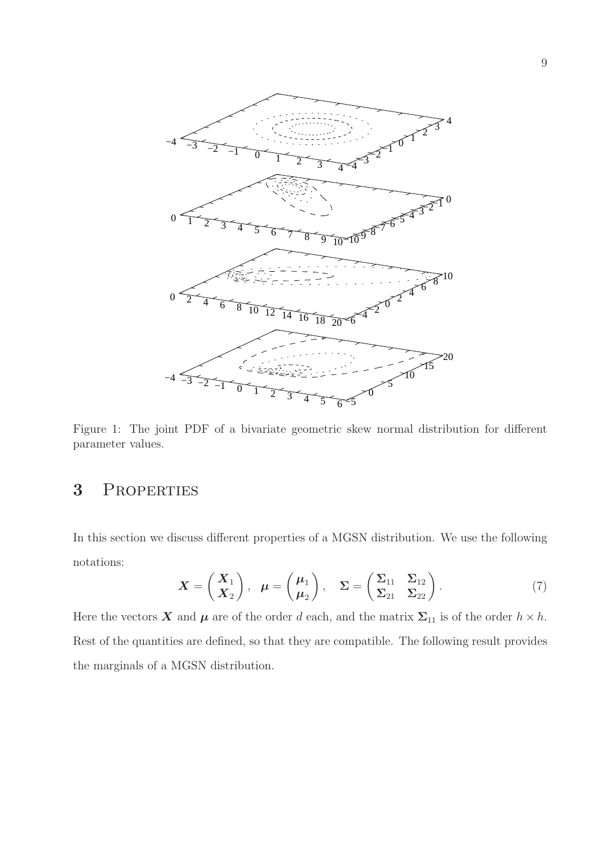

Figure 1: The joint PDF of a bivariate geometric skew normal distribution for different parameter values.

## 3 Properties

In this section we discuss different properties of a MGSN distribution. We use the following notations:

$$
\boldsymbol{X} = \begin{pmatrix} \boldsymbol{X}_1 \\ \boldsymbol{X}_2 \end{pmatrix}, \ \boldsymbol{\mu} = \begin{pmatrix} \boldsymbol{\mu}_1 \\ \boldsymbol{\mu}_2 \end{pmatrix}, \ \boldsymbol{\Sigma} = \begin{pmatrix} \boldsymbol{\Sigma}_{11} & \boldsymbol{\Sigma}_{12} \\ \boldsymbol{\Sigma}_{21} & \boldsymbol{\Sigma}_{22} \end{pmatrix}.
$$
 (7)

Here the vectors **X** and  $\mu$  are of the order d each, and the matrix  $\Sigma_{11}$  is of the order  $h \times h$ . Rest of the quantities are defined, so that they are compatible. The following result provides the marginals of a MGSN distribution.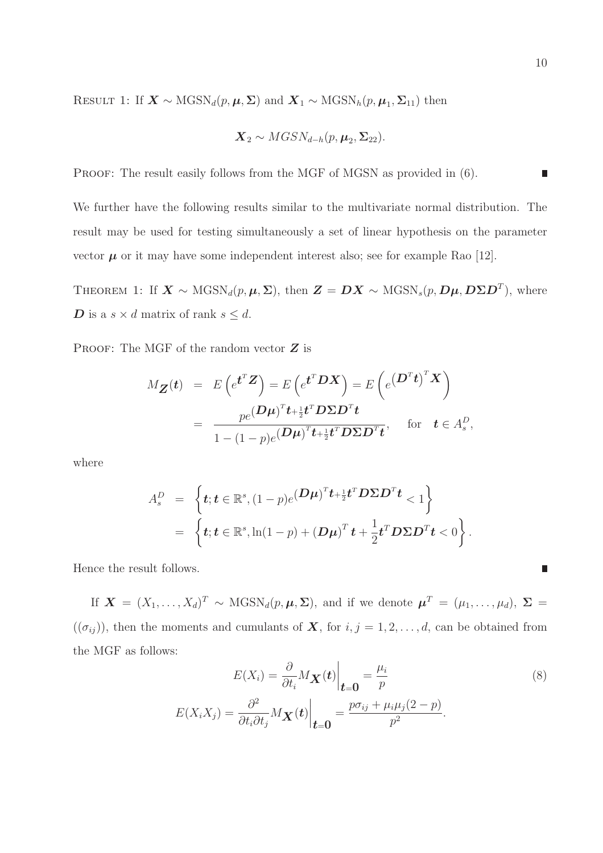RESULT 1: If  $\mathbf{X} \sim \text{MGSN}_d(p, \mu, \Sigma)$  and  $\mathbf{X}_1 \sim \text{MGSN}_h(p, \mu_1, \Sigma_{11})$  then

$$
\boldsymbol{X}_2 \sim MGSN_{d-h}(p, \boldsymbol{\mu}_2, \boldsymbol{\Sigma}_{22}).
$$

PROOF: The result easily follows from the MGF of MGSN as provided in  $(6)$ .

We further have the following results similar to the multivariate normal distribution. The result may be used for testing simultaneously a set of linear hypothesis on the parameter vector  $\mu$  or it may have some independent interest also; see for example Rao [12].

THEOREM 1: If  $\mathbf{X} \sim \text{MGSN}_d(p, \mu, \Sigma)$ , then  $\mathbf{Z} = \mathbf{D}\mathbf{X} \sim \text{MGSN}_s(p, \mathbf{D}\mu, \mathbf{D}\Sigma \mathbf{D}^T)$ , where **D** is a  $s \times d$  matrix of rank  $s \leq d$ .

PROOF: The MGF of the random vector  $Z$  is

$$
M_{\mathbf{Z}}(t) = E\left(e^{t^T \mathbf{Z}}\right) = E\left(e^{t^T \mathbf{D} \mathbf{X}}\right) = E\left(e^{\left(\mathbf{D}^T t\right)^T \mathbf{X}}\right)
$$

$$
= \frac{pe^{(\mathbf{D}\boldsymbol{\mu})^T t + \frac{1}{2}t^T \mathbf{D} \Sigma \mathbf{D}^T t}}{1 - (1 - p)e^{(\mathbf{D}\boldsymbol{\mu})^T t + \frac{1}{2}t^T \mathbf{D} \Sigma \mathbf{D}^T t}}, \text{ for } t \in A_s^D,
$$

where

$$
A_s^D = \left\{ \boldsymbol{t}; \boldsymbol{t} \in \mathbb{R}^s, (1-p)e^{(\boldsymbol{D}\boldsymbol{\mu})^T\boldsymbol{t} + \frac{1}{2}\boldsymbol{t}^T\boldsymbol{D}\boldsymbol{\Sigma}\boldsymbol{D}^T\boldsymbol{t}} < 1 \right\}
$$
  
= 
$$
\left\{ \boldsymbol{t}; \boldsymbol{t} \in \mathbb{R}^s, \ln(1-p) + (\boldsymbol{D}\boldsymbol{\mu})^T\boldsymbol{t} + \frac{1}{2}\boldsymbol{t}^T\boldsymbol{D}\boldsymbol{\Sigma}\boldsymbol{D}^T\boldsymbol{t} < 0 \right\}.
$$

Hence the result follows.

If  $\mathbf{X} = (X_1, \ldots, X_d)^T \sim \text{MGSN}_d(p, \mu, \Sigma)$ , and if we denote  $\boldsymbol{\mu}^T = (\mu_1, \ldots, \mu_d)$ ,  $\Sigma =$  $((\sigma_{ij}))$ , then the moments and cumulants of **X**, for  $i, j = 1, 2, ..., d$ , can be obtained from the MGF as follows:

$$
E(X_i) = \frac{\partial}{\partial t_i} M_{\mathbf{X}}(t) \Big|_{t=0} = \frac{\mu_i}{p}
$$
(8)  

$$
E(X_i X_j) = \frac{\partial^2}{\partial t_i \partial t_j} M_{\mathbf{X}}(t) \Big|_{t=0} = \frac{p \sigma_{ij} + \mu_i \mu_j (2 - p)}{p^2}.
$$

 $\overline{\phantom{a}}$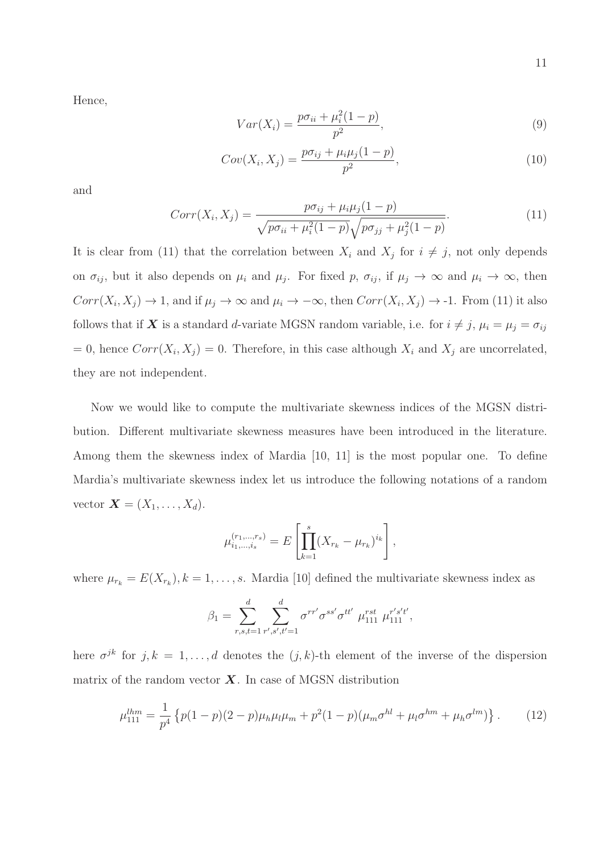Hence,

$$
Var(X_i) = \frac{p\sigma_{ii} + \mu_i^2(1-p)}{p^2},
$$
\n(9)

$$
Cov(X_i, X_j) = \frac{p\sigma_{ij} + \mu_i \mu_j (1 - p)}{p^2},
$$
\n(10)

and

$$
Corr(X_i, X_j) = \frac{p\sigma_{ij} + \mu_i \mu_j (1 - p)}{\sqrt{p\sigma_{ii} + \mu_i^2 (1 - p)} \sqrt{p\sigma_{jj} + \mu_j^2 (1 - p)}}.
$$
\n(11)

It is clear from (11) that the correlation between  $X_i$  and  $X_j$  for  $i \neq j$ , not only depends on  $\sigma_{ij}$ , but it also depends on  $\mu_i$  and  $\mu_j$ . For fixed p,  $\sigma_{ij}$ , if  $\mu_j \to \infty$  and  $\mu_i \to \infty$ , then  $Corr(X_i, X_j) \to 1$ , and if  $\mu_j \to \infty$  and  $\mu_i \to -\infty$ , then  $Corr(X_i, X_j) \to -1$ . From (11) it also follows that if **X** is a standard d-variate MGSN random variable, i.e. for  $i \neq j$ ,  $\mu_i = \mu_j = \sigma_{ij}$ = 0, hence  $Corr(X_i, X_j) = 0$ . Therefore, in this case although  $X_i$  and  $X_j$  are uncorrelated, they are not independent.

Now we would like to compute the multivariate skewness indices of the MGSN distribution. Different multivariate skewness measures have been introduced in the literature. Among them the skewness index of Mardia [10, 11] is the most popular one. To define Mardia's multivariate skewness index let us introduce the following notations of a random vector  $\mathbf{X} = (X_1, \ldots, X_d).$ 

$$
\mu_{i_1,\dots,i_s}^{(r_1,\dots,r_s)} = E\left[\prod_{k=1}^s (X_{r_k} - \mu_{r_k})^{i_k}\right],
$$

where  $\mu_{r_k} = E(X_{r_k}), k = 1, \ldots, s$ . Mardia [10] defined the multivariate skewness index as

$$
\beta_1 = \sum_{r,s,t=1}^d \sum_{r',s',t'=1}^d \sigma^{rr'} \sigma^{ss'} \sigma^{tt'} \mu_{111}^{rst} \mu_{111}^{r's't'},
$$

here  $\sigma^{jk}$  for  $j, k = 1, \ldots, d$  denotes the  $(j, k)$ -th element of the inverse of the dispersion matrix of the random vector  $\boldsymbol{X}$ . In case of MGSN distribution

$$
\mu_{111}^{lhm} = \frac{1}{p^4} \left\{ p(1-p)(2-p)\mu_h \mu_l \mu_m + p^2(1-p)(\mu_m \sigma^{hl} + \mu_l \sigma^{hm} + \mu_h \sigma^{lm}) \right\}.
$$
 (12)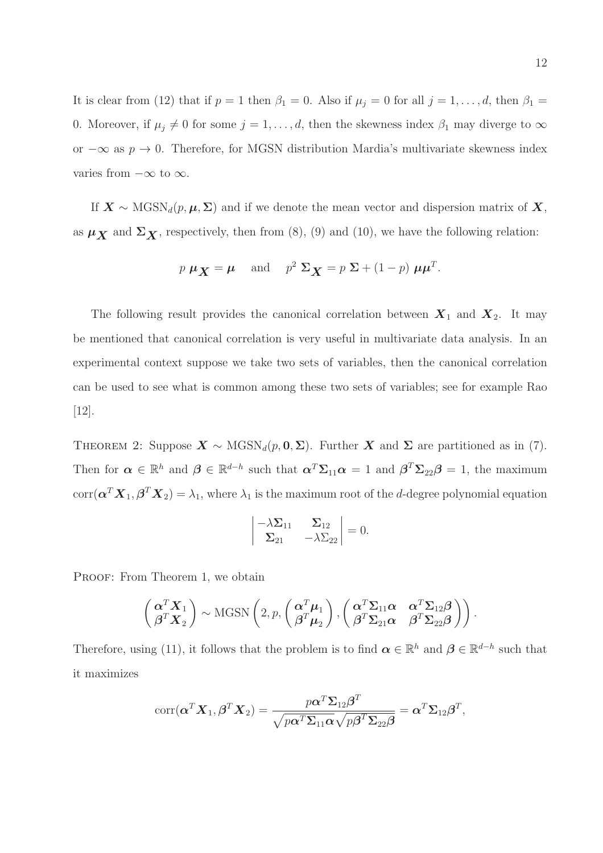It is clear from (12) that if  $p = 1$  then  $\beta_1 = 0$ . Also if  $\mu_j = 0$  for all  $j = 1, \ldots, d$ , then  $\beta_1 =$ 0. Moreover, if  $\mu_j \neq 0$  for some  $j = 1, \ldots, d$ , then the skewness index  $\beta_1$  may diverge to  $\infty$ or  $-\infty$  as  $p \to 0$ . Therefore, for MGSN distribution Mardia's multivariate skewness index varies from  $-\infty$  to  $\infty$ .

If  $X \sim \text{MGSN}_d(p, \mu, \Sigma)$  and if we denote the mean vector and dispersion matrix of X, as  $\mu_X$  and  $\Sigma_X$ , respectively, then from (8), (9) and (10), we have the following relation:

$$
p \mu_X = \mu
$$
 and  $p^2 \Sigma_X = p \Sigma + (1 - p) \mu \mu^T$ .

The following result provides the canonical correlation between  $X_1$  and  $X_2$ . It may be mentioned that canonical correlation is very useful in multivariate data analysis. In an experimental context suppose we take two sets of variables, then the canonical correlation can be used to see what is common among these two sets of variables; see for example Rao [12].

THEOREM 2: Suppose  $\mathbf{X} \sim \text{MGSN}_d(p, \mathbf{0}, \Sigma)$ . Further  $\mathbf{X}$  and  $\Sigma$  are partitioned as in (7). Then for  $\alpha \in \mathbb{R}^h$  and  $\beta \in \mathbb{R}^{d-h}$  such that  $\alpha^T \Sigma_{11} \alpha = 1$  and  $\beta^T \Sigma_{22} \beta = 1$ , the maximum  $\text{corr}(\boldsymbol{\alpha}^T\boldsymbol{X}_1,\boldsymbol{\beta}^T\boldsymbol{X}_2)=\lambda_1,$  where  $\lambda_1$  is the maximum root of the *d*-degree polynomial equation

$$
\begin{vmatrix} -\lambda \Sigma_{11} & \Sigma_{12} \\ \Sigma_{21} & -\lambda \Sigma_{22} \end{vmatrix} = 0.
$$

PROOF: From Theorem 1, we obtain

$$
\begin{pmatrix} \alpha^T \mathbf{X}_1 \\ \beta^T \mathbf{X}_2 \end{pmatrix} \sim \text{MGSN} \left( 2, p, \begin{pmatrix} \alpha^T \boldsymbol{\mu}_1 \\ \beta^T \boldsymbol{\mu}_2 \end{pmatrix}, \begin{pmatrix} \alpha^T \boldsymbol{\Sigma}_{11} \boldsymbol{\alpha} & \alpha^T \boldsymbol{\Sigma}_{12} \boldsymbol{\beta} \\ \beta^T \boldsymbol{\Sigma}_{21} \boldsymbol{\alpha} & \beta^T \boldsymbol{\Sigma}_{22} \boldsymbol{\beta} \end{pmatrix} \right).
$$

Therefore, using (11), it follows that the problem is to find  $\boldsymbol{\alpha} \in \mathbb{R}^h$  and  $\boldsymbol{\beta} \in \mathbb{R}^{d-h}$  such that it maximizes

$$
corr(\boldsymbol{\alpha}^T \boldsymbol{X}_1, \boldsymbol{\beta}^T \boldsymbol{X}_2) = \frac{p \boldsymbol{\alpha}^T \boldsymbol{\Sigma}_{12} \boldsymbol{\beta}^T}{\sqrt{p \boldsymbol{\alpha}^T \boldsymbol{\Sigma}_{11} \boldsymbol{\alpha}} \sqrt{p \boldsymbol{\beta}^T \boldsymbol{\Sigma}_{22} \boldsymbol{\beta}}} = \boldsymbol{\alpha}^T \boldsymbol{\Sigma}_{12} \boldsymbol{\beta}^T,
$$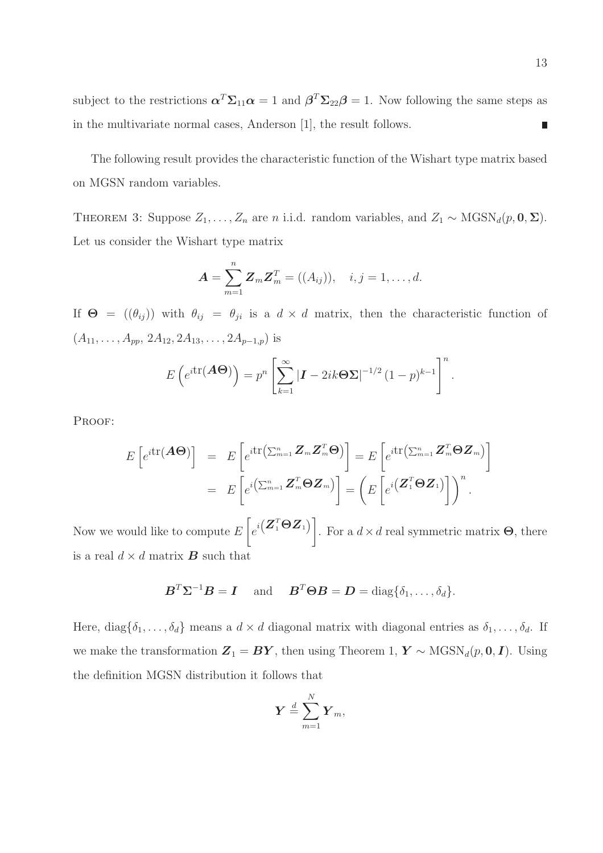subject to the restrictions  $\alpha^T \Sigma_{11} \alpha = 1$  and  $\beta^T \Sigma_{22} \beta = 1$ . Now following the same steps as in the multivariate normal cases, Anderson [1], the result follows.  $\overline{\phantom{a}}$ 

The following result provides the characteristic function of the Wishart type matrix based on MGSN random variables.

THEOREM 3: Suppose  $Z_1, \ldots, Z_n$  are n i.i.d. random variables, and  $Z_1 \sim \text{MGSN}_d(p, \mathbf{0}, \Sigma)$ . Let us consider the Wishart type matrix

$$
A = \sum_{m=1}^{n} Z_m Z_m^T = ((A_{ij})), \quad i, j = 1, \dots, d.
$$

If  $\Theta = ((\theta_{ij}))$  with  $\theta_{ij} = \theta_{ji}$  is a  $d \times d$  matrix, then the characteristic function of  $(A_{11}, \ldots, A_{pp}, 2A_{12}, 2A_{13}, \ldots, 2A_{p-1,p})$  is

$$
E\left(e^{i\text{tr}(\boldsymbol{A}\boldsymbol{\Theta})}\right)=p^{n}\left[\sum_{k=1}^{\infty}\left|\boldsymbol{I}-2ik\boldsymbol{\Theta}\boldsymbol{\Sigma}\right|^{-1/2}(1-p)^{k-1}\right]^{n}.
$$

PROOF:

$$
E\left[e^{i\text{tr}(\boldsymbol{A}\boldsymbol{\Theta})}\right] = E\left[e^{i\text{tr}\left(\sum_{m=1}^{n}\boldsymbol{Z}_{m}\boldsymbol{Z}_{m}^{T}\boldsymbol{\Theta}\right)}\right] = E\left[e^{i\text{tr}\left(\sum_{m=1}^{n}\boldsymbol{Z}_{m}^{T}\boldsymbol{\Theta}\boldsymbol{Z}_{m}\right)}\right]
$$

$$
= E\left[e^{i\left(\sum_{m=1}^{n}\boldsymbol{Z}_{m}^{T}\boldsymbol{\Theta}\boldsymbol{Z}_{m}\right)}\right] = \left(E\left[e^{i\left(\boldsymbol{Z}_{1}^{T}\boldsymbol{\Theta}\boldsymbol{Z}_{1}\right)}\right]\right)^{n}.
$$

Now we would like to compute  $E$  $\sqrt{ }$  $\left[e^{i\left(\boldsymbol{Z}_{1}^{T}\boldsymbol{\Theta}\boldsymbol{Z}_{1}\right)}\right]$ . For a  $d \times d$  real symmetric matrix **Θ**, there is a real  $d \times d$  matrix **B** such that

$$
\boldsymbol{B}^T \boldsymbol{\Sigma}^{-1} \boldsymbol{B} = \boldsymbol{I} \quad \text{and} \quad \boldsymbol{B}^T \boldsymbol{\Theta} \boldsymbol{B} = \boldsymbol{D} = \text{diag}\{\delta_1, \ldots, \delta_d\}.
$$

Here, diag $\{\delta_1,\ldots,\delta_d\}$  means a  $d \times d$  diagonal matrix with diagonal entries as  $\delta_1,\ldots,\delta_d$ . If we make the transformation  $\mathbf{Z}_1 = \mathbf{B}\mathbf{Y}$ , then using Theorem 1,  $\mathbf{Y} \sim \text{MGSN}_d(p, \mathbf{0}, \mathbf{I})$ . Using the definition MGSN distribution it follows that

$$
\boldsymbol{Y} \stackrel{d}{=} \sum_{m=1}^N \boldsymbol{Y}_m,
$$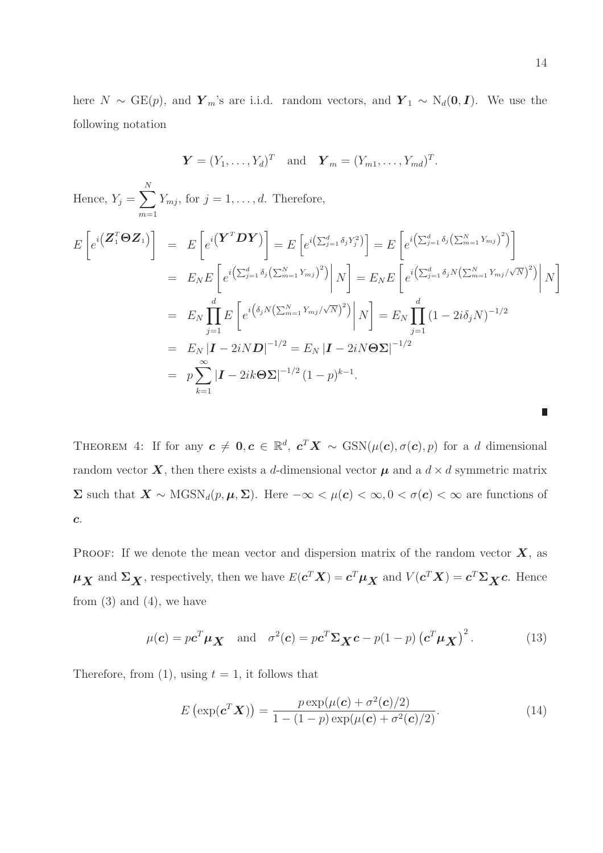here  $N \sim \text{GE}(p)$ , and  $\boldsymbol{Y}_m$ 's are i.i.d. random vectors, and  $\boldsymbol{Y}_1 \sim N_d(\boldsymbol{0}, \boldsymbol{I})$ . We use the following notation

$$
\mathbf{Y} = (Y_1, \dots, Y_d)^T
$$
 and  $\mathbf{Y}_m = (Y_{m1}, \dots, Y_{md})^T$ .

Hence, 
$$
Y_j = \sum_{m=1}^{N} Y_{mj}
$$
, for  $j = 1, ..., d$ . Therefore,  
\n
$$
E\left[e^{i\left(\mathbf{Z}_1^T \boldsymbol{\Theta} \mathbf{Z}_1\right)}\right] = E\left[e^{i\left(\mathbf{Y}^T \boldsymbol{D} \mathbf{Y}\right)}\right] = E\left[e^{i\left(\sum_{j=1}^d \delta_j Y_j^2\right)}\right] = E\left[e^{i\left(\sum_{j=1}^d \delta_j \left(\sum_{m=1}^N Y_{mj}\right)^2\right)}\right]
$$
\n
$$
= E_N E\left[e^{i\left(\sum_{j=1}^d \delta_j \left(\sum_{m=1}^N Y_{mj}\right)^2\right)}\right] N\right] = E_N E\left[e^{i\left(\sum_{j=1}^d \delta_j N \left(\sum_{m=1}^N Y_{mj}/\sqrt{N}\right)^2\right)}\right] N\right]
$$
\n
$$
= E_N \prod_{j=1}^d E\left[e^{i\left(\delta_j N \left(\sum_{m=1}^N Y_{mj}/\sqrt{N}\right)^2\right)}\right] N\right] = E_N \prod_{j=1}^d (1 - 2i\delta_j N)^{-1/2}
$$
\n
$$
= E_N |I - 2iND|^{-1/2} = E_N |I - 2iN\Theta\Sigma|^{-1/2}
$$
\n
$$
= p \sum_{k=1}^\infty |I - 2ik\Theta\Sigma|^{-1/2} (1 - p)^{k-1}.
$$

THEOREM 4: If for any  $c \neq 0, c \in \mathbb{R}^d$ ,  $c^T X \sim \text{GSN}(\mu(c), \sigma(c), p)$  for a d dimensional random vector  $\boldsymbol{X}$ , then there exists a d-dimensional vector  $\boldsymbol{\mu}$  and a  $d \times d$  symmetric matrix  $\Sigma$  such that  $\mathbf{X} \sim \text{MGSN}_d(p, \mu, \Sigma)$ . Here  $-\infty < \mu(c) < \infty, 0 < \sigma(c) < \infty$  are functions of c.

PROOF: If we denote the mean vector and dispersion matrix of the random vector  $\boldsymbol{X}$ , as  $\mu_X$  and  $\Sigma_X$ , respectively, then we have  $E(c^T X) = c^T \mu_X$  and  $V(c^T X) = c^T \Sigma_X c$ . Hence from  $(3)$  and  $(4)$ , we have

$$
\mu(c) = p c^T \mu \mathbf{X} \quad \text{and} \quad \sigma^2(c) = p c^T \Sigma \mathbf{X}^c - p(1-p) (c^T \mu \mathbf{X})^2. \tag{13}
$$

Therefore, from (1), using  $t = 1$ , it follows that

$$
E\left(\exp(\mathbf{c}^T \mathbf{X})\right) = \frac{p \exp(\mu(\mathbf{c}) + \sigma^2(\mathbf{c})/2)}{1 - (1 - p) \exp(\mu(\mathbf{c}) + \sigma^2(\mathbf{c})/2)}.
$$
\n(14)

 $\Box$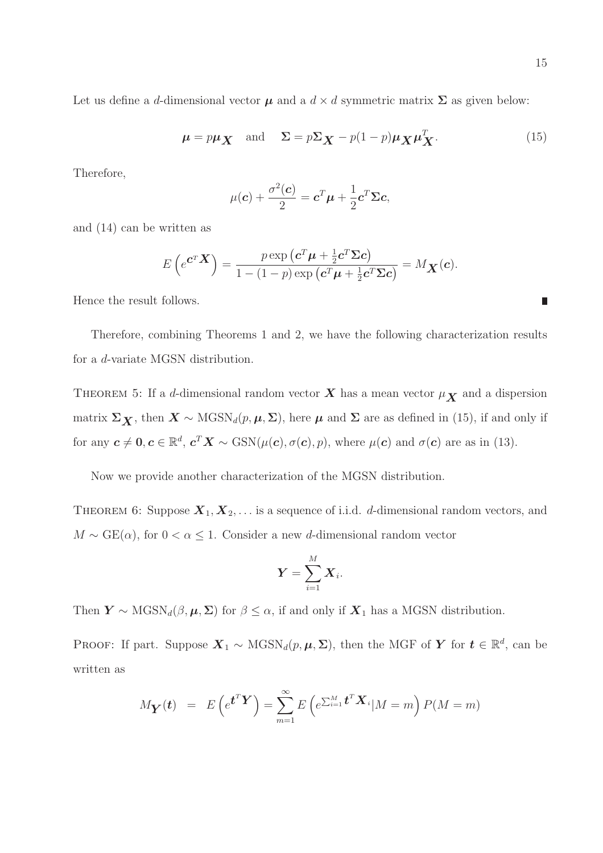Let us define a d-dimensional vector  $\mu$  and a  $d \times d$  symmetric matrix  $\Sigma$  as given below:

$$
\mu = p\mu_X \quad \text{and} \quad \Sigma = p\Sigma_X - p(1-p)\mu_X \mu_X^T. \tag{15}
$$

Therefore,

$$
\mu(\mathbf{c}) + \frac{\sigma^2(\mathbf{c})}{2} = \mathbf{c}^T \mathbf{\mu} + \frac{1}{2} \mathbf{c}^T \mathbf{\Sigma} \mathbf{c},
$$

and (14) can be written as

$$
E\left(e^{\mathbf{C}^T}\mathbf{X}\right) = \frac{p \exp\left(\mathbf{c}^T\boldsymbol{\mu} + \frac{1}{2}\mathbf{c}^T\boldsymbol{\Sigma}\mathbf{c}\right)}{1 - (1 - p) \exp\left(\mathbf{c}^T\boldsymbol{\mu} + \frac{1}{2}\mathbf{c}^T\boldsymbol{\Sigma}\mathbf{c}\right)} = M_{\mathbf{X}}(\mathbf{c}).
$$

Hence the result follows.

Therefore, combining Theorems 1 and 2, we have the following characterization results for a d-variate MGSN distribution.

THEOREM 5: If a d-dimensional random vector  $X$  has a mean vector  $\mu_X$  and a dispersion matrix  $\Sigma_X$ , then  $X \sim \text{MGSN}_d(p, \mu, \Sigma)$ , here  $\mu$  and  $\Sigma$  are as defined in (15), if and only if for any  $c \neq 0, c \in \mathbb{R}^d$ ,  $c^T X \sim \text{GSN}(\mu(c), \sigma(c), p)$ , where  $\mu(c)$  and  $\sigma(c)$  are as in (13).

Now we provide another characterization of the MGSN distribution.

THEOREM 6: Suppose  $X_1, X_2, \ldots$  is a sequence of i.i.d. d-dimensional random vectors, and  $M \sim \text{GE}(\alpha)$ , for  $0 < \alpha \leq 1$ . Consider a new d-dimensional random vector

$$
\boldsymbol{Y} = \sum_{i=1}^M \boldsymbol{X}_i.
$$

Then  $\mathbf{Y} \sim \text{MGSN}_d(\beta, \mu, \Sigma)$  for  $\beta \leq \alpha$ , if and only if  $\mathbf{X}_1$  has a MGSN distribution.

PROOF: If part. Suppose  $\mathbf{X}_1 \sim \text{MGSN}_d(p, \mu, \Sigma)$ , then the MGF of  $\mathbf{Y}$  for  $\mathbf{t} \in \mathbb{R}^d$ , can be written as

$$
M_{\mathbf{Y}}(t) = E\left(e^{\mathbf{t}^T \mathbf{Y}}\right) = \sum_{m=1}^{\infty} E\left(e^{\sum_{i=1}^{M} \mathbf{t}^T \mathbf{X}_i} | M = m\right) P(M = m)
$$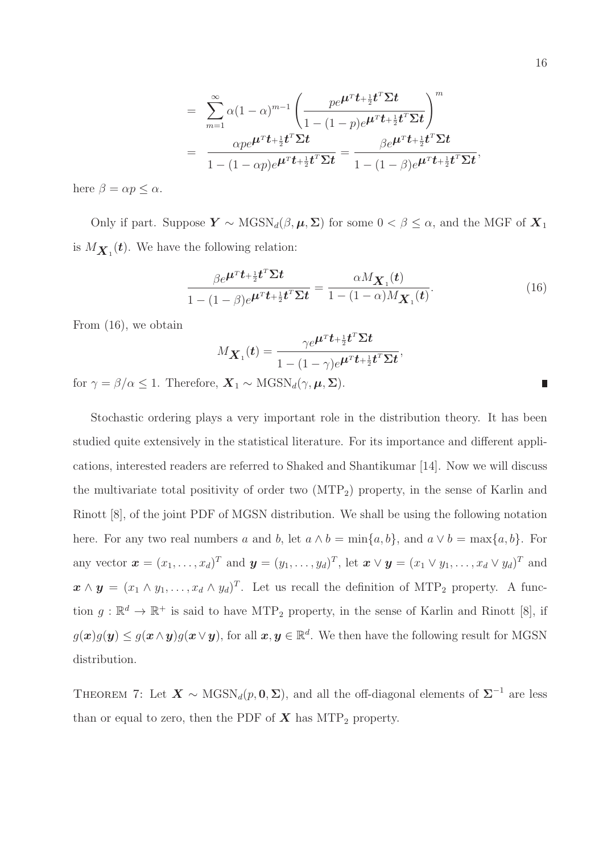$$
= \sum_{m=1}^{\infty} \alpha (1-\alpha)^{m-1} \left( \frac{p e^{\mu^T t + \frac{1}{2} t^T \Sigma t}}{1 - (1-p) e^{\mu^T t + \frac{1}{2} t^T \Sigma t}} \right)^m
$$
  
= 
$$
\frac{\alpha p e^{\mu^T t + \frac{1}{2} t^T \Sigma t}}{1 - (1-\alpha p) e^{\mu^T t + \frac{1}{2} t^T \Sigma t}} = \frac{\beta e^{\mu^T t + \frac{1}{2} t^T \Sigma t}}{1 - (1-\beta) e^{\mu^T t + \frac{1}{2} t^T \Sigma t}},
$$

here  $\beta = \alpha p \leq \alpha$ .

Only if part. Suppose  $Y \sim \text{MGSN}_d(\beta, \mu, \Sigma)$  for some  $0 < \beta \leq \alpha$ , and the MGF of  $X_1$ is  $M_{\mathbf{X}_1}(t)$ . We have the following relation:

$$
\frac{\beta e^{\boldsymbol{\mu}^T \boldsymbol{t} + \frac{1}{2} \boldsymbol{t}^T \boldsymbol{\Sigma} \boldsymbol{t}}}{1 - (1 - \beta) e^{\boldsymbol{\mu}^T \boldsymbol{t} + \frac{1}{2} \boldsymbol{t}^T \boldsymbol{\Sigma} \boldsymbol{t}} = \frac{\alpha M_{\boldsymbol{X}_1}(\boldsymbol{t})}{1 - (1 - \alpha) M_{\boldsymbol{X}_1}(\boldsymbol{t})}.
$$
(16)

From (16), we obtain

$$
M_{\boldsymbol{X}_1}(t) = \frac{\gamma e^{\boldsymbol{\mu}^T \boldsymbol{t} + \frac{1}{2} \boldsymbol{t}^T \boldsymbol{\Sigma} \boldsymbol{t}}}{1 - (1 - \gamma) e^{\boldsymbol{\mu}^T \boldsymbol{t} + \frac{1}{2} \boldsymbol{t}^T \boldsymbol{\Sigma} \boldsymbol{t}}},
$$

for  $\gamma = \beta/\alpha \leq 1$ . Therefore,  $\mathbf{X}_1 \sim \text{MGSN}_d(\gamma, \mu, \Sigma)$ .

Stochastic ordering plays a very important role in the distribution theory. It has been studied quite extensively in the statistical literature. For its importance and different applications, interested readers are referred to Shaked and Shantikumar [14]. Now we will discuss the multivariate total positivity of order two  $(MTP<sub>2</sub>)$  property, in the sense of Karlin and Rinott [8], of the joint PDF of MGSN distribution. We shall be using the following notation here. For any two real numbers a and b, let  $a \wedge b = \min\{a, b\}$ , and  $a \vee b = \max\{a, b\}$ . For any vector  $\mathbf{x} = (x_1, \ldots, x_d)^T$  and  $\mathbf{y} = (y_1, \ldots, y_d)^T$ , let  $\mathbf{x} \vee \mathbf{y} = (x_1 \vee y_1, \ldots, x_d \vee y_d)^T$  and  $\mathbf{x} \wedge \mathbf{y} = (x_1 \wedge y_1, \dots, x_d \wedge y_d)^T$ . Let us recall the definition of MTP<sub>2</sub> property. A function  $g: \mathbb{R}^d \to \mathbb{R}^+$  is said to have MTP<sub>2</sub> property, in the sense of Karlin and Rinott [8], if  $g(x)g(y) \le g(x \wedge y)g(x \vee y)$ , for all  $x, y \in \mathbb{R}^d$ . We then have the following result for MGSN distribution.

THEOREM 7: Let  $\mathbf{X} \sim \text{MGSN}_d(p, \mathbf{0}, \Sigma)$ , and all the off-diagonal elements of  $\Sigma^{-1}$  are less than or equal to zero, then the PDF of  $X$  has MTP<sub>2</sub> property.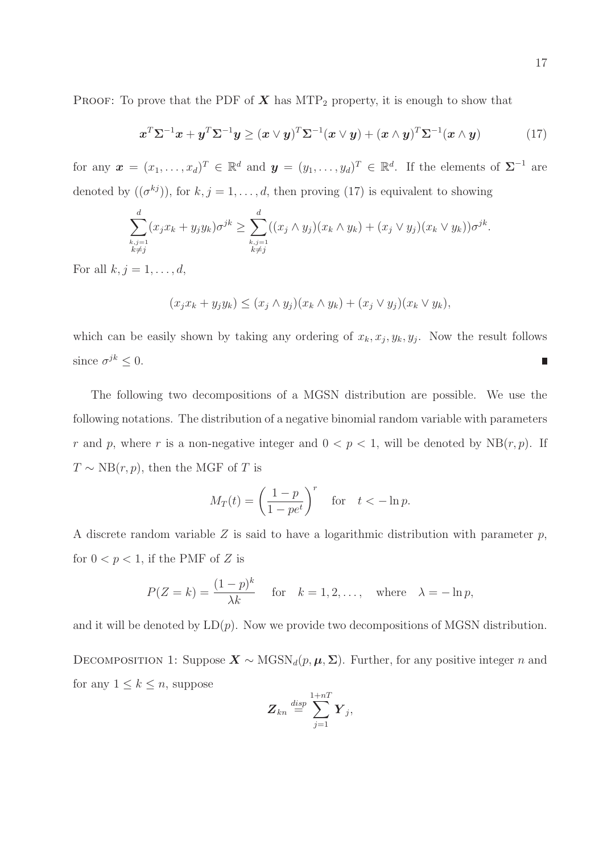PROOF: To prove that the PDF of  $X$  has MTP<sub>2</sub> property, it is enough to show that

$$
\boldsymbol{x}^T \boldsymbol{\Sigma}^{-1} \boldsymbol{x} + \boldsymbol{y}^T \boldsymbol{\Sigma}^{-1} \boldsymbol{y} \geq (\boldsymbol{x} \vee \boldsymbol{y})^T \boldsymbol{\Sigma}^{-1} (\boldsymbol{x} \vee \boldsymbol{y}) + (\boldsymbol{x} \wedge \boldsymbol{y})^T \boldsymbol{\Sigma}^{-1} (\boldsymbol{x} \wedge \boldsymbol{y})
$$
(17)

for any  $\mathbf{x} = (x_1, \ldots, x_d)^T \in \mathbb{R}^d$  and  $\mathbf{y} = (y_1, \ldots, y_d)^T \in \mathbb{R}^d$ . If the elements of  $\Sigma^{-1}$  are denoted by  $((\sigma^{kj}))$ , for  $k, j = 1, ..., d$ , then proving (17) is equivalent to showing

$$
\sum_{\substack{k,j=1\\k\neq j}}^d (x_j x_k + y_j y_k) \sigma^{jk} \ge \sum_{\substack{k,j=1\\k\neq j}}^d ((x_j \wedge y_j)(x_k \wedge y_k) + (x_j \vee y_j)(x_k \vee y_k)) \sigma^{jk}
$$

For all  $k, j = 1, \ldots, d$ ,

$$
(x_jx_k+y_jy_k)\leq (x_j\wedge y_j)(x_k\wedge y_k)+(x_j\vee y_j)(x_k\vee y_k),
$$

which can be easily shown by taking any ordering of  $x_k, x_j, y_k, y_j$ . Now the result follows since  $\sigma^{jk} \leq 0$ .  $\overline{\phantom{a}}$ 

The following two decompositions of a MGSN distribution are possible. We use the following notations. The distribution of a negative binomial random variable with parameters r and p, where r is a non-negative integer and  $0 < p < 1$ , will be denoted by NB $(r, p)$ . If  $T \sim NB(r, p)$ , then the MGF of T is

$$
M_T(t) = \left(\frac{1-p}{1-pe^t}\right)^r \quad \text{for} \quad t < -\ln p.
$$

A discrete random variable  $Z$  is said to have a logarithmic distribution with parameter  $p$ , for  $0 < p < 1$ , if the PMF of Z is

$$
P(Z = k) = \frac{(1 - p)^k}{\lambda k} \quad \text{for} \quad k = 1, 2, \dots, \quad \text{where} \quad \lambda = -\ln p,
$$

and it will be denoted by  $LD(p)$ . Now we provide two decompositions of MGSN distribution.

DECOMPOSITION 1: Suppose  $\mathbf{X} \sim \text{MGSN}_d(p, \mu, \Sigma)$ . Further, for any positive integer n and for any  $1 \leq k \leq n$ , suppose

$$
\bm{Z}_{kn} \stackrel{disp}{=} \sum_{j=1}^{1+nT} \bm{Y}_j,
$$

.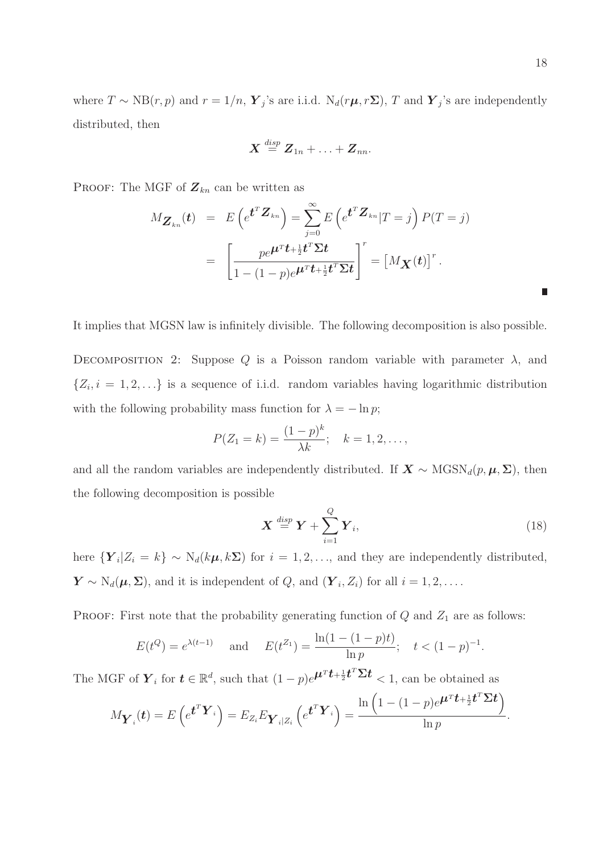where  $T \sim NB(r, p)$  and  $r = 1/n$ ,  $\boldsymbol{Y}_j$ 's are i.i.d.  $N_d(r\boldsymbol{\mu}, r\boldsymbol{\Sigma})$ , T and  $\boldsymbol{Y}_j$ 's are independently distributed, then

$$
\boldsymbol{X} \stackrel{disp}{=} \boldsymbol{Z}_{1n} + \ldots + \boldsymbol{Z}_{nn}.
$$

PROOF: The MGF of  $\mathbf{Z}_{kn}$  can be written as

$$
M_{\mathbf{Z}_{kn}}(t) = E\left(e^{\boldsymbol{t}^T \mathbf{Z}_{kn}}\right) = \sum_{j=0}^{\infty} E\left(e^{\boldsymbol{t}^T \mathbf{Z}_{kn}} | T=j\right) P(T=j)
$$
  
= 
$$
\left[\frac{pe^{\boldsymbol{\mu}^T \boldsymbol{t} + \frac{1}{2} \boldsymbol{t}^T \boldsymbol{\Sigma} \boldsymbol{t}}}{1 - (1-p)e^{\boldsymbol{\mu}^T \boldsymbol{t} + \frac{1}{2} \boldsymbol{t}^T \boldsymbol{\Sigma} \boldsymbol{t}}}\right]^r = \left[M_{\mathbf{X}}(t)\right]^r.
$$

It implies that MGSN law is infinitely divisible. The following decomposition is also possible.

DECOMPOSITION 2: Suppose Q is a Poisson random variable with parameter  $\lambda$ , and  $\{Z_i, i = 1, 2, \ldots\}$  is a sequence of i.i.d. random variables having logarithmic distribution with the following probability mass function for  $\lambda = -\ln p$ ;

$$
P(Z_1 = k) = \frac{(1-p)^k}{\lambda k}; \quad k = 1, 2, \dots,
$$

and all the random variables are independently distributed. If  $\mathbf{X} \sim \text{MGSN}_d(p, \mu, \Sigma)$ , then the following decomposition is possible

$$
\boldsymbol{X} \stackrel{disp}{=} \boldsymbol{Y} + \sum_{i=1}^{Q} \boldsymbol{Y}_i, \tag{18}
$$

here  $\{Y_i | Z_i = k\} \sim N_d(k\mu, k\Sigma)$  for  $i = 1, 2, ...,$  and they are independently distributed,  $\mathbf{Y} \sim \mathrm{N}_d(\boldsymbol{\mu}, \boldsymbol{\Sigma})$ , and it is independent of  $Q$ , and  $(\boldsymbol{Y}_i, Z_i)$  for all  $i = 1, 2, \dots$ .

PROOF: First note that the probability generating function of  $Q$  and  $Z_1$  are as follows:

$$
E(t^Q) = e^{\lambda(t-1)}
$$
 and  $E(t^{Z_1}) = \frac{\ln(1 - (1 - p)t)}{\ln p}$ ;  $t < (1 - p)^{-1}$ .

The MGF of  $\boldsymbol{Y}_i$  for  $\boldsymbol{t} \in \mathbb{R}^d$ , such that  $(1-p)e^{\boldsymbol{\mu}^T \boldsymbol{t} + \frac{1}{2} \boldsymbol{t}^T \boldsymbol{\Sigma} \boldsymbol{t}} < 1$ , can be obtained as

$$
M_{\boldsymbol{Y}_i}(t) = E\left(e^{\boldsymbol{t}^T\boldsymbol{Y}_i}\right) = E_{Z_i}E_{\boldsymbol{Y}_i|Z_i}\left(e^{\boldsymbol{t}^T\boldsymbol{Y}_i}\right) = \frac{\ln\left(1-(1-p)e^{\boldsymbol{\mu}^T\boldsymbol{t}+\frac{1}{2}\boldsymbol{t}^T\boldsymbol{\Sigma}\boldsymbol{t}}\right)}{\ln p}.
$$

Π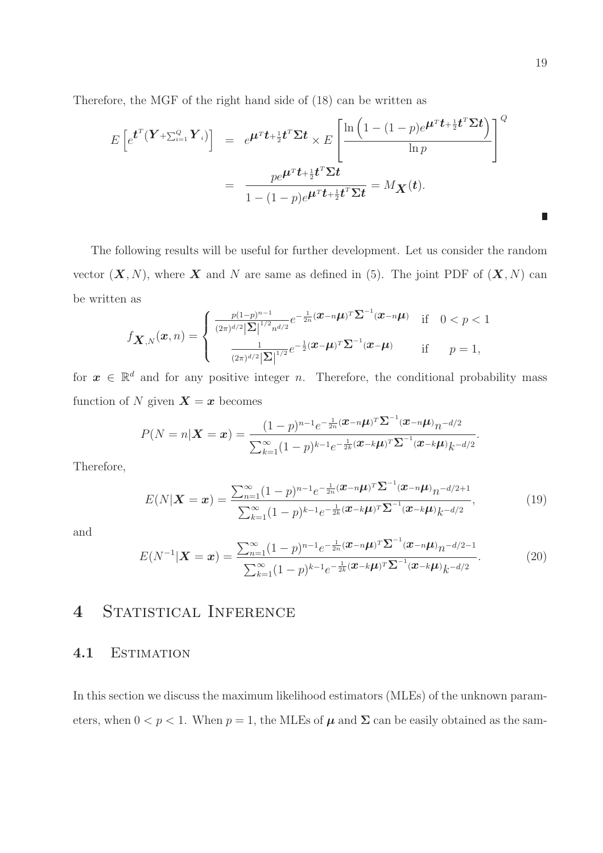Therefore, the MGF of the right hand side of (18) can be written as

$$
E\left[e^{\boldsymbol{t}^{T}(\boldsymbol{Y}+\sum_{i=1}^{Q}\boldsymbol{Y}_{i})}\right] = e^{\boldsymbol{\mu}^{T}\boldsymbol{t}+\frac{1}{2}\boldsymbol{t}^{T}\boldsymbol{\Sigma}\boldsymbol{t}} \times E\left[\frac{\ln\left(1-(1-p)e^{\boldsymbol{\mu}^{T}\boldsymbol{t}+\frac{1}{2}\boldsymbol{t}^{T}\boldsymbol{\Sigma}\boldsymbol{t}}\right)}{\ln p}\right]^{Q}
$$

$$
= \frac{pe^{\boldsymbol{\mu}^{T}\boldsymbol{t}+\frac{1}{2}\boldsymbol{t}^{T}\boldsymbol{\Sigma}\boldsymbol{t}}}{1-(1-p)e^{\boldsymbol{\mu}^{T}\boldsymbol{t}+\frac{1}{2}\boldsymbol{t}^{T}\boldsymbol{\Sigma}\boldsymbol{t}}} = M_{\boldsymbol{X}}(\boldsymbol{t}).
$$

The following results will be useful for further development. Let us consider the random vector  $(X, N)$ , where X and N are same as defined in (5). The joint PDF of  $(X, N)$  can be written as

$$
f_{\mathbf{X},N}(\mathbf{x},n) = \begin{cases} \frac{p(1-p)^{n-1}}{(2\pi)^{d/2}|\Sigma|^{1/2}n^{d/2}}e^{-\frac{1}{2n}(\mathbf{x}-n\boldsymbol{\mu})^T\Sigma^{-1}(\mathbf{x}-n\boldsymbol{\mu})} & \text{if } 0 < p < 1\\ \frac{1}{(2\pi)^{d/2}|\Sigma|^{1/2}}e^{-\frac{1}{2}(\mathbf{x}-\boldsymbol{\mu})^T\Sigma^{-1}(\mathbf{x}-\boldsymbol{\mu})} & \text{if } p = 1, \end{cases}
$$

for  $x \in \mathbb{R}^d$  and for any positive integer n. Therefore, the conditional probability mass function of N given  $\mathbf{X} = \mathbf{x}$  becomes

$$
P(N = n | \mathbf{X} = \mathbf{x}) = \frac{(1-p)^{n-1}e^{-\frac{1}{2n}(\mathbf{x} - n\mathbf{\mu})^T \mathbf{\Sigma}^{-1}(\mathbf{x} - n\mathbf{\mu})} n^{-d/2}}{\sum_{k=1}^{\infty} (1-p)^{k-1}e^{-\frac{1}{2k}(\mathbf{x} - k\mathbf{\mu})^T \mathbf{\Sigma}^{-1}(\mathbf{x} - k\mathbf{\mu})} k^{-d/2}}
$$

Therefore,

$$
E(N|\boldsymbol{X}=\boldsymbol{x}) = \frac{\sum_{n=1}^{\infty} (1-p)^{n-1} e^{-\frac{1}{2n}(\boldsymbol{x}-n\boldsymbol{\mu})^T \boldsymbol{\Sigma}^{-1}(\boldsymbol{x}-n\boldsymbol{\mu})} n^{-d/2+1}}{\sum_{k=1}^{\infty} (1-p)^{k-1} e^{-\frac{1}{2k}(\boldsymbol{x}-k\boldsymbol{\mu})^T \boldsymbol{\Sigma}^{-1}(\boldsymbol{x}-k\boldsymbol{\mu})} k^{-d/2}},
$$
(19)

and

$$
E(N^{-1}|\mathbf{X}=\mathbf{x}) = \frac{\sum_{n=1}^{\infty} (1-p)^{n-1} e^{-\frac{1}{2n}(\mathbf{x}-n\mathbf{\mu})^T \mathbf{\Sigma}^{-1}(\mathbf{x}-n\mathbf{\mu})} n^{-d/2-1}}{\sum_{k=1}^{\infty} (1-p)^{k-1} e^{-\frac{1}{2k}(\mathbf{x}-k\mathbf{\mu})^T \mathbf{\Sigma}^{-1}(\mathbf{x}-k\mathbf{\mu})} k^{-d/2}}.
$$
(20)

## 4 STATISTICAL INFERENCE

#### 4.1 Estimation

In this section we discuss the maximum likelihood estimators (MLEs) of the unknown parameters, when  $0 < p < 1$ . When  $p = 1$ , the MLEs of  $\mu$  and  $\Sigma$  can be easily obtained as the sam-

.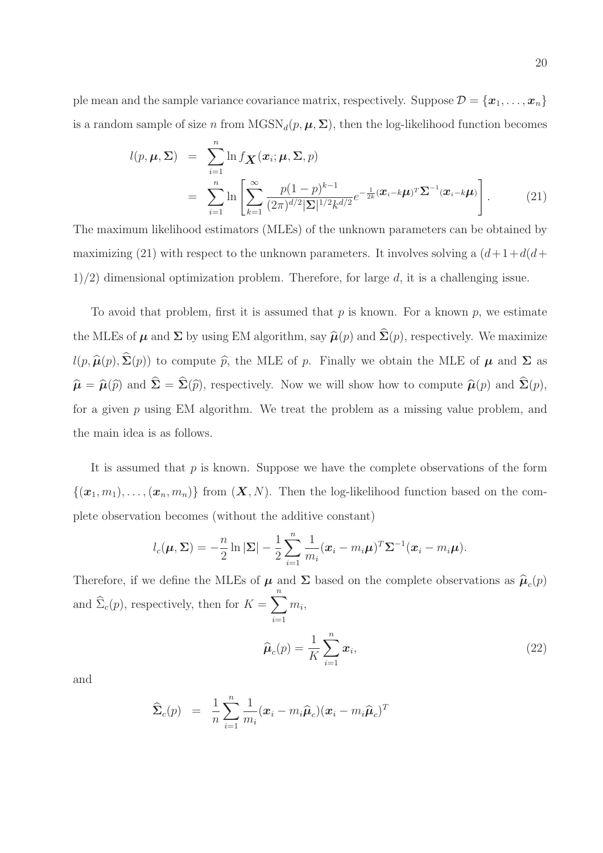ple mean and the sample variance covariance matrix, respectively. Suppose  $\mathcal{D} = {\mathbf{x}_1, \dots, \mathbf{x}_n}$ is a random sample of size n from  $MGSN_d(p, \mu, \Sigma)$ , then the log-likelihood function becomes

$$
l(p, \boldsymbol{\mu}, \boldsymbol{\Sigma}) = \sum_{i=1}^{n} \ln f_{\boldsymbol{X}}(\boldsymbol{x}_i; \boldsymbol{\mu}, \boldsymbol{\Sigma}, p)
$$
  
= 
$$
\sum_{i=1}^{n} \ln \left[ \sum_{k=1}^{\infty} \frac{p(1-p)^{k-1}}{(2\pi)^{d/2} |\boldsymbol{\Sigma}|^{1/2} k^{d/2}} e^{-\frac{1}{2k} (\boldsymbol{x}_i - k \boldsymbol{\mu})^T \boldsymbol{\Sigma}^{-1} (\boldsymbol{x}_i - k \boldsymbol{\mu})} \right].
$$
 (21)

The maximum likelihood estimators (MLEs) of the unknown parameters can be obtained by maximizing (21) with respect to the unknown parameters. It involves solving a  $(d+1+d(d+$  $1/2$ ) dimensional optimization problem. Therefore, for large d, it is a challenging issue.

To avoid that problem, first it is assumed that  $p$  is known. For a known  $p$ , we estimate the MLEs of  $\mu$  and  $\Sigma$  by using EM algorithm, say  $\widehat{\mu}(p)$  and  $\widehat{\Sigma}(p)$ , respectively. We maximize  $l(p, \hat{\boldsymbol{\mu}}(p), \hat{\boldsymbol{\Sigma}}(p))$  to compute  $\hat{p}$ , the MLE of p. Finally we obtain the MLE of  $\boldsymbol{\mu}$  and  $\boldsymbol{\Sigma}$  as  $\hat{\boldsymbol{\mu}} = \hat{\boldsymbol{\mu}}(\hat{p})$  and  $\hat{\boldsymbol{\Sigma}} = \hat{\boldsymbol{\Sigma}}(\hat{p})$ , respectively. Now we will show how to compute  $\hat{\boldsymbol{\mu}}(p)$  and  $\hat{\boldsymbol{\Sigma}}(p)$ , for a given  $p$  using EM algorithm. We treat the problem as a missing value problem, and the main idea is as follows.

It is assumed that  $p$  is known. Suppose we have the complete observations of the form  $\{(\boldsymbol{x}_1,m_1),\ldots,(\boldsymbol{x}_n,m_n)\}\)$  from  $(\boldsymbol{X},N)$ . Then the log-likelihood function based on the complete observation becomes (without the additive constant)

$$
l_c(\boldsymbol{\mu}, \boldsymbol{\Sigma}) = -\frac{n}{2} \ln |\boldsymbol{\Sigma}| - \frac{1}{2} \sum_{i=1}^n \frac{1}{m_i} (\boldsymbol{x}_i - m_i \boldsymbol{\mu})^T \boldsymbol{\Sigma}^{-1} (\boldsymbol{x}_i - m_i \boldsymbol{\mu}).
$$

Therefore, if we define the MLEs of  $\mu$  and  $\Sigma$  based on the complete observations as  $\hat{\mu}_c(p)$ and  $\Sigma_c(p)$ , respectively, then for  $K =$  $\sum_{n=1}^{\infty}$  $i=1$  $m_i$ 

$$
\widehat{\boldsymbol{\mu}}_c(p) = \frac{1}{K} \sum_{i=1}^n \boldsymbol{x}_i,\tag{22}
$$

and

$$
\widehat{\mathbf{\Sigma}}_c(p) = \frac{1}{n}\sum_{i=1}^n \frac{1}{m_i}(\boldsymbol{x}_i - m_i \widehat{\boldsymbol{\mu}}_c)(\boldsymbol{x}_i - m_i \widehat{\boldsymbol{\mu}}_c)^T
$$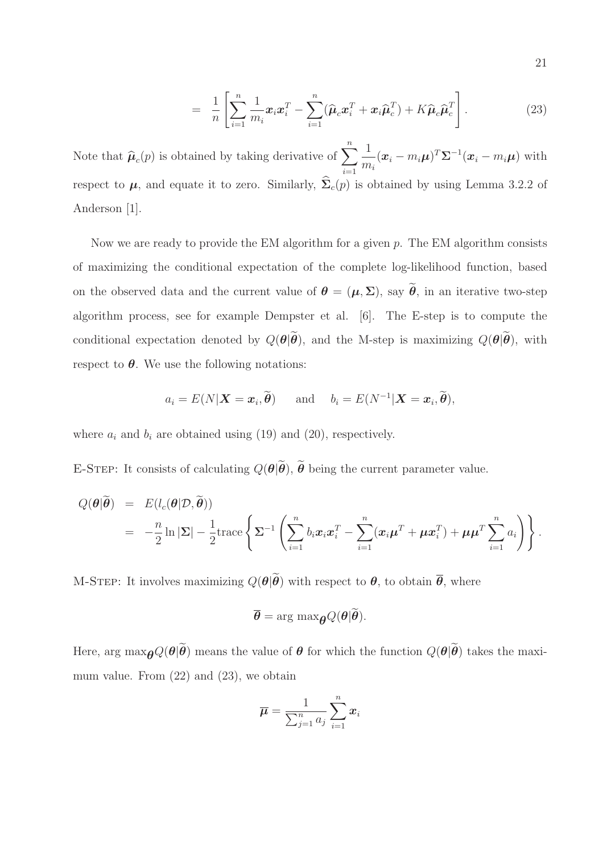$$
= \frac{1}{n} \left[ \sum_{i=1}^{n} \frac{1}{m_i} \boldsymbol{x}_i \boldsymbol{x}_i^T - \sum_{i=1}^{n} (\widehat{\boldsymbol{\mu}}_c \boldsymbol{x}_i^T + \boldsymbol{x}_i \widehat{\boldsymbol{\mu}}_c^T) + K \widehat{\boldsymbol{\mu}}_c \widehat{\boldsymbol{\mu}}_c^T \right]. \tag{23}
$$

Note that  $\widehat{\boldsymbol{\mu}}_c(p)$  is obtained by taking derivative of  $\sum_{i=1}^n$  $i=1$ 1  $\frac{1}{m_i}(\boldsymbol{x}_i - m_i \boldsymbol{\mu})^T \boldsymbol{\Sigma}^{-1} (\boldsymbol{x}_i - m_i \boldsymbol{\mu})$  with respect to  $\mu$ , and equate it to zero. Similarly,  $\hat{\Sigma}_c(p)$  is obtained by using Lemma 3.2.2 of Anderson [1].

Now we are ready to provide the EM algorithm for a given  $p$ . The EM algorithm consists of maximizing the conditional expectation of the complete log-likelihood function, based on the observed data and the current value of  $\theta = (\mu, \Sigma)$ , say  $\tilde{\theta}$ , in an iterative two-step algorithm process, see for example Dempster et al. [6]. The E-step is to compute the conditional expectation denoted by  $Q(\boldsymbol{\theta}|\widetilde{\boldsymbol{\theta}})$ , and the M-step is maximizing  $Q(\boldsymbol{\theta}|\widetilde{\boldsymbol{\theta}})$ , with respect to  $\theta$ . We use the following notations:

$$
a_i = E(N|\boldsymbol{X}=\boldsymbol{x}_i, \tilde{\boldsymbol{\theta}})
$$
 and  $b_i = E(N^{-1}|\boldsymbol{X}=\boldsymbol{x}_i, \tilde{\boldsymbol{\theta}}),$ 

where  $a_i$  and  $b_i$  are obtained using (19) and (20), respectively.

E-STEP: It consists of calculating  $Q(\boldsymbol{\theta}|\widetilde{\boldsymbol{\theta}}), \widetilde{\boldsymbol{\theta}}$  being the current parameter value.

$$
Q(\boldsymbol{\theta}|\widetilde{\boldsymbol{\theta}}) = E(l_c(\boldsymbol{\theta}|\mathcal{D}, \widetilde{\boldsymbol{\theta}}))
$$
  
=  $-\frac{n}{2}\ln|\Sigma| - \frac{1}{2}\mathrm{trace}\left\{\Sigma^{-1}\left(\sum_{i=1}^n b_i\mathbf{x}_i\mathbf{x}_i^T - \sum_{i=1}^n(\mathbf{x}_i\boldsymbol{\mu}^T + \boldsymbol{\mu}\mathbf{x}_i^T) + \boldsymbol{\mu}\boldsymbol{\mu}^T\sum_{i=1}^n a_i\right)\right\}.$ 

M-STEP: It involves maximizing  $Q(\boldsymbol{\theta}|\widetilde{\boldsymbol{\theta}})$  with respect to  $\boldsymbol{\theta}$ , to obtain  $\overline{\boldsymbol{\theta}}$ , where

$$
\overline{\boldsymbol{\theta}} = \arg \max_{\boldsymbol{\theta}} Q(\boldsymbol{\theta} | \widetilde{\boldsymbol{\theta}}).
$$

Here, arg  $\max_{\theta} Q(\theta|\tilde{\theta})$  means the value of  $\theta$  for which the function  $Q(\theta|\tilde{\theta})$  takes the maximum value. From (22) and (23), we obtain

$$
\overline{\boldsymbol{\mu}} = \frac{1}{\sum_{j=1}^n a_j} \sum_{i=1}^n x_i
$$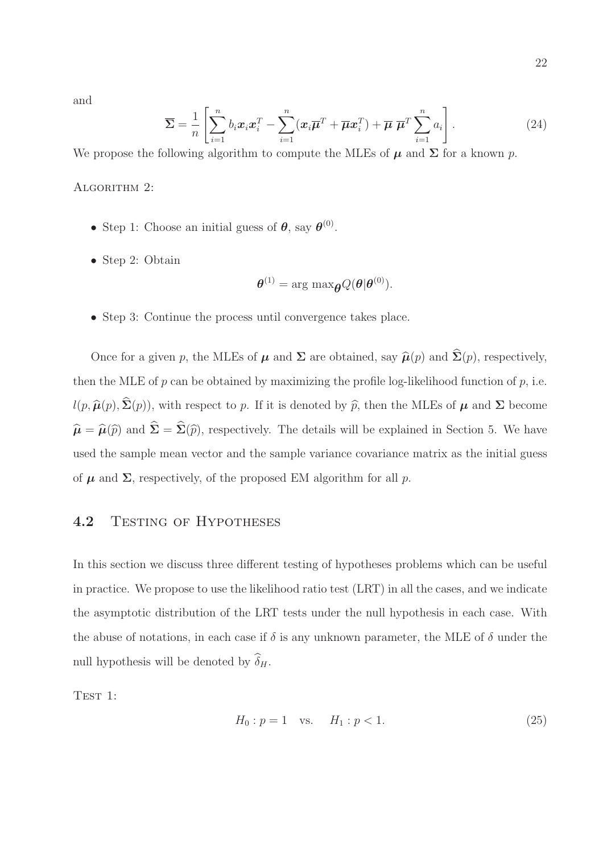22

and

$$
\overline{\Sigma} = \frac{1}{n} \left[ \sum_{i=1}^{n} b_i \boldsymbol{x}_i \boldsymbol{x}_i^T - \sum_{i=1}^{n} (\boldsymbol{x}_i \overline{\boldsymbol{\mu}}^T + \overline{\boldsymbol{\mu}} \boldsymbol{x}_i^T) + \overline{\boldsymbol{\mu}} \ \overline{\boldsymbol{\mu}}^T \sum_{i=1}^{n} a_i \right].
$$
 (24)

We propose the following algorithm to compute the MLEs of  $\mu$  and  $\Sigma$  for a known p.

ALGORITHM 2:

- Step 1: Choose an initial guess of  $\theta$ , say  $\theta^{(0)}$ .
- Step 2: Obtain

$$
\boldsymbol{\theta}^{(1)} = \arg \max_{\boldsymbol{\theta}} Q(\boldsymbol{\theta}|\boldsymbol{\theta}^{(0)}).
$$

• Step 3: Continue the process until convergence takes place.

Once for a given p, the MLEs of  $\mu$  and  $\Sigma$  are obtained, say  $\widehat{\mu}(p)$  and  $\widehat{\Sigma}(p)$ , respectively, then the MLE of  $p$  can be obtained by maximizing the profile log-likelihood function of  $p$ , i.e.  $l(p, \hat{\boldsymbol{\mu}}(p), \hat{\boldsymbol{\Sigma}}(p))$ , with respect to p. If it is denoted by  $\hat{p}$ , then the MLEs of  $\boldsymbol{\mu}$  and  $\boldsymbol{\Sigma}$  become  $\hat{\mu} = \hat{\mu}(\hat{p})$  and  $\hat{\Sigma} = \hat{\Sigma}(\hat{p})$ , respectively. The details will be explained in Section 5. We have used the sample mean vector and the sample variance covariance matrix as the initial guess of  $\mu$  and  $\Sigma$ , respectively, of the proposed EM algorithm for all p.

#### 4.2 TESTING OF HYPOTHESES

In this section we discuss three different testing of hypotheses problems which can be useful in practice. We propose to use the likelihood ratio test (LRT) in all the cases, and we indicate the asymptotic distribution of the LRT tests under the null hypothesis in each case. With the abuse of notations, in each case if  $\delta$  is any unknown parameter, the MLE of  $\delta$  under the null hypothesis will be denoted by  $\widehat{\delta}_{H}$ .

TEST 1:

$$
H_0: p = 1 \quad \text{vs.} \quad H_1: p < 1. \tag{25}
$$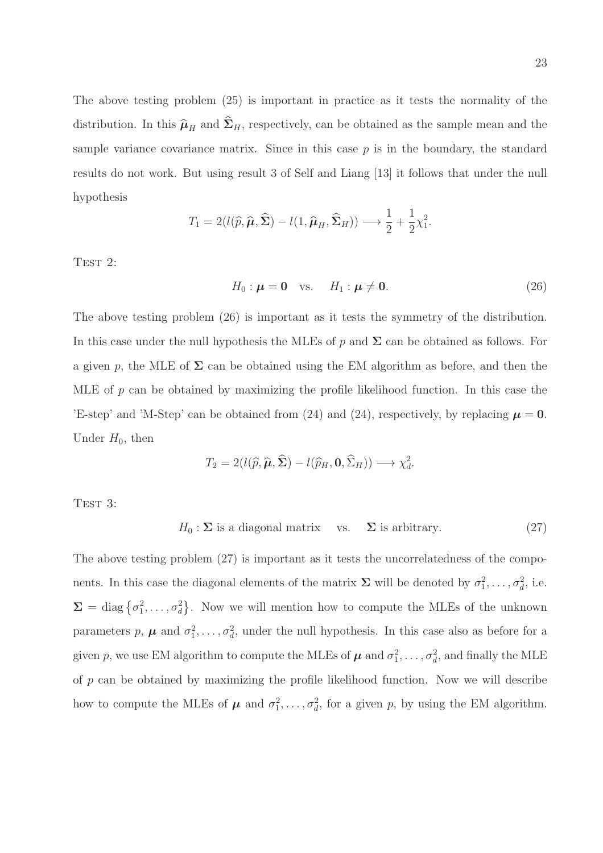The above testing problem (25) is important in practice as it tests the normality of the distribution. In this  $\widehat{\mu}_{H}$  and  $\widehat{\Sigma}_{H}$ , respectively, can be obtained as the sample mean and the sample variance covariance matrix. Since in this case  $p$  is in the boundary, the standard results do not work. But using result 3 of Self and Liang [13] it follows that under the null hypothesis

$$
T_1 = 2(l(\widehat{p}, \widehat{\boldsymbol{\mu}}, \widehat{\boldsymbol{\Sigma}}) - l(1, \widehat{\boldsymbol{\mu}}_H, \widehat{\boldsymbol{\Sigma}}_H)) \longrightarrow \frac{1}{2} + \frac{1}{2}\chi_1^2.
$$

TEST 2:

$$
H_0: \boldsymbol{\mu} = \mathbf{0} \quad \text{vs.} \quad H_1: \boldsymbol{\mu} \neq \mathbf{0}.
$$
 (26)

.

The above testing problem (26) is important as it tests the symmetry of the distribution. In this case under the null hypothesis the MLEs of p and  $\Sigma$  can be obtained as follows. For a given p, the MLE of  $\Sigma$  can be obtained using the EM algorithm as before, and then the MLE of p can be obtained by maximizing the profile likelihood function. In this case the 'E-step' and 'M-Step' can be obtained from (24) and (24), respectively, by replacing  $\mu = 0$ . Under  $H_0$ , then

$$
T_2 = 2(l(\widehat{p}, \widehat{\boldsymbol{\mu}}, \widehat{\boldsymbol{\Sigma}}) - l(\widehat{p}_H, \mathbf{0}, \widehat{\Sigma}_H)) \longrightarrow \chi_d^2
$$

TEST 3:

 $H_0: \Sigma$  is a diagonal matrix vs.  $\Sigma$  is arbitrary. (27)

The above testing problem (27) is important as it tests the uncorrelatedness of the components. In this case the diagonal elements of the matrix  $\Sigma$  will be denoted by  $\sigma_1^2, \ldots, \sigma_d^2$ , i.e.  $\Sigma = \text{diag}\{\sigma_1^2, \ldots, \sigma_d^2\}$ . Now we will mention how to compute the MLEs of the unknown parameters p,  $\mu$  and  $\sigma_1^2, \ldots, \sigma_d^2$ , under the null hypothesis. In this case also as before for a given p, we use EM algorithm to compute the MLEs of  $\mu$  and  $\sigma_1^2, \ldots, \sigma_d^2$ , and finally the MLE of p can be obtained by maximizing the profile likelihood function. Now we will describe how to compute the MLEs of  $\mu$  and  $\sigma_1^2, \ldots, \sigma_d^2$ , for a given p, by using the EM algorithm.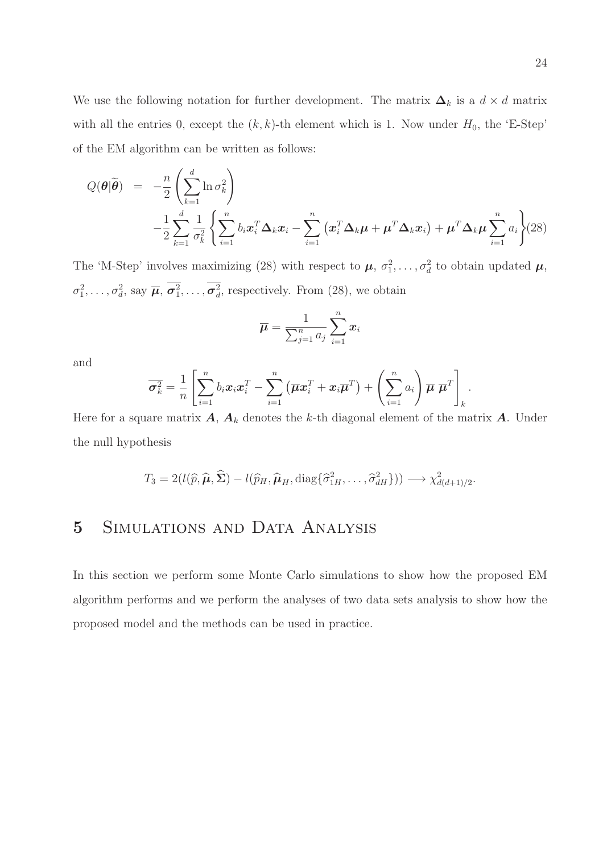We use the following notation for further development. The matrix  $\Delta_k$  is a  $d \times d$  matrix with all the entries 0, except the  $(k, k)$ -th element which is 1. Now under  $H_0$ , the 'E-Step' of the EM algorithm can be written as follows:

$$
Q(\boldsymbol{\theta}|\widetilde{\boldsymbol{\theta}}) = -\frac{n}{2} \left( \sum_{k=1}^{d} \ln \sigma_k^2 \right) - \frac{1}{2} \sum_{k=1}^{d} \frac{1}{\sigma_k^2} \left\{ \sum_{i=1}^{n} b_i \boldsymbol{x}_i^T \boldsymbol{\Delta}_k \boldsymbol{x}_i - \sum_{i=1}^{n} \left( \boldsymbol{x}_i^T \boldsymbol{\Delta}_k \boldsymbol{\mu} + \boldsymbol{\mu}^T \boldsymbol{\Delta}_k \boldsymbol{x}_i \right) + \boldsymbol{\mu}^T \boldsymbol{\Delta}_k \boldsymbol{\mu} \sum_{i=1}^{n} a_i \right\} (28)
$$

The 'M-Step' involves maximizing (28) with respect to  $\mu$ ,  $\sigma_1^2$ , ...,  $\sigma_d^2$  to obtain updated  $\mu$ ,  $\sigma_1^2, \ldots, \sigma_d^2$ , say  $\overline{\mu}, \sigma_1^2, \ldots, \sigma_d^2$ , respectively. From (28), we obtain

$$
\overline{\mu} = \frac{1}{\sum_{j=1}^n a_j} \sum_{i=1}^n x_i
$$

and

$$
\overline{\boldsymbol{\sigma}_k^2} = \frac{1}{n} \left[ \sum_{i=1}^n b_i \boldsymbol{x}_i \boldsymbol{x}_i^T - \sum_{i=1}^n (\overline{\boldsymbol{\mu}} \boldsymbol{x}_i^T + \boldsymbol{x}_i \overline{\boldsymbol{\mu}}^T) + \left( \sum_{i=1}^n a_i \right) \overline{\boldsymbol{\mu}} \ \overline{\boldsymbol{\mu}}^T \right]_k.
$$

Here for a square matrix  $A, A_k$  denotes the k-th diagonal element of the matrix  $A$ . Under the null hypothesis

$$
T_3 = 2(l(\widehat{p}, \widehat{\boldsymbol{\mu}}, \widehat{\boldsymbol{\Sigma}}) - l(\widehat{p}_H, \widehat{\boldsymbol{\mu}}_H, \text{diag}\{\widehat{\sigma}_{1H}^2, \ldots, \widehat{\sigma}_{dH}^2\})) \longrightarrow \chi^2_{d(d+1)/2}.
$$

### 5 Simulations and Data Analysis

In this section we perform some Monte Carlo simulations to show how the proposed EM algorithm performs and we perform the analyses of two data sets analysis to show how the proposed model and the methods can be used in practice.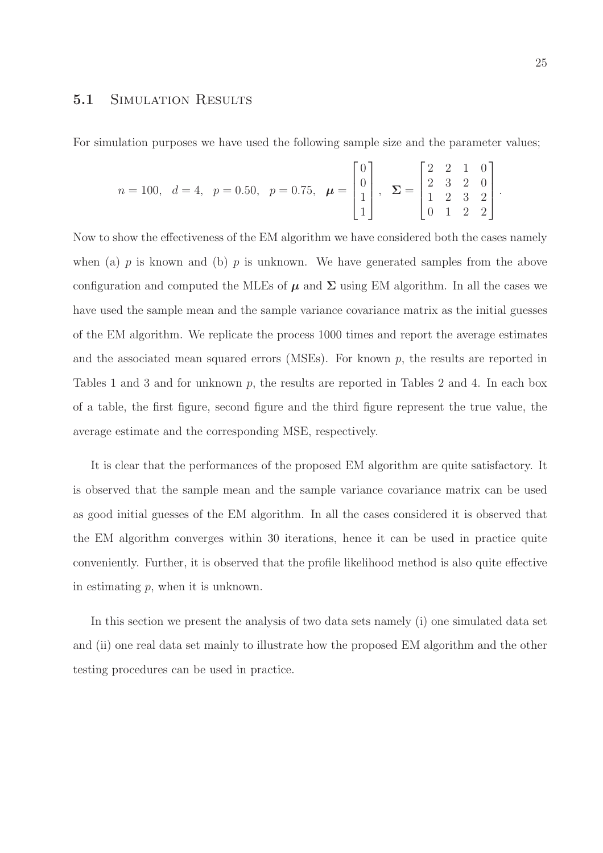#### 5.1 SIMULATION RESULTS

For simulation purposes we have used the following sample size and the parameter values;

$$
n = 100, \ d = 4, \ p = 0.50, \ p = 0.75, \ \boldsymbol{\mu} = \begin{bmatrix} 0 \\ 0 \\ 1 \\ 1 \end{bmatrix}, \ \boldsymbol{\Sigma} = \begin{bmatrix} 2 & 2 & 1 & 0 \\ 2 & 3 & 2 & 0 \\ 1 & 2 & 3 & 2 \\ 0 & 1 & 2 & 2 \end{bmatrix}.
$$

Now to show the effectiveness of the EM algorithm we have considered both the cases namely when (a)  $p$  is known and (b)  $p$  is unknown. We have generated samples from the above configuration and computed the MLEs of  $\mu$  and  $\Sigma$  using EM algorithm. In all the cases we have used the sample mean and the sample variance covariance matrix as the initial guesses of the EM algorithm. We replicate the process 1000 times and report the average estimates and the associated mean squared errors (MSEs). For known  $p$ , the results are reported in Tables 1 and 3 and for unknown p, the results are reported in Tables 2 and 4. In each box of a table, the first figure, second figure and the third figure represent the true value, the average estimate and the corresponding MSE, respectively.

It is clear that the performances of the proposed EM algorithm are quite satisfactory. It is observed that the sample mean and the sample variance covariance matrix can be used as good initial guesses of the EM algorithm. In all the cases considered it is observed that the EM algorithm converges within 30 iterations, hence it can be used in practice quite conveniently. Further, it is observed that the profile likelihood method is also quite effective in estimating  $p$ , when it is unknown.

In this section we present the analysis of two data sets namely (i) one simulated data set and (ii) one real data set mainly to illustrate how the proposed EM algorithm and the other testing procedures can be used in practice.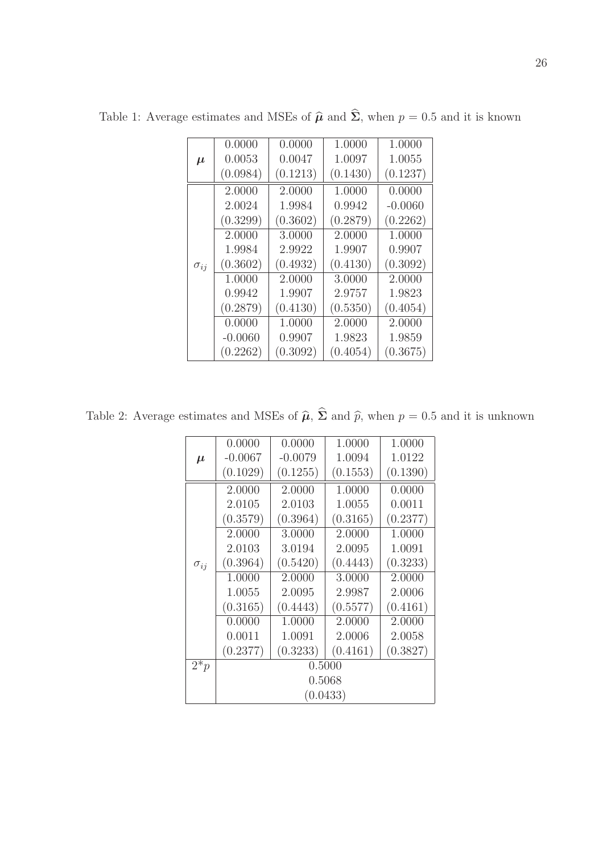|               | 0.0000    | 0.0000   | 1.0000   | 1.0000    |  |
|---------------|-----------|----------|----------|-----------|--|
| $\mu$         | 0.0053    | 0.0047   | 1.0097   | 1.0055    |  |
|               | (0.0984)  | (0.1213) | (0.1430) | (0.1237)  |  |
|               | 2.0000    | 2.0000   | 1.0000   | 0.0000    |  |
| $\sigma_{ij}$ | 2.0024    | 1.9984   | 0.9942   | $-0.0060$ |  |
|               | (0.3299)  | (0.3602) | (0.2879) | (0.2262)  |  |
|               | 2.0000    | 3.0000   | 2.0000   | 1.0000    |  |
|               | 1.9984    | 2.9922   | 1.9907   | 0.9907    |  |
|               | (0.3602)  | (0.4932) | (0.4130) | (0.3092)  |  |
|               | 1.0000    | 2.0000   | 3.0000   | 2.0000    |  |
|               | 0.9942    | 1.9907   | 2.9757   | 1.9823    |  |
|               | (0.2879)  | (0.4130) | (0.5350) | (0.4054)  |  |
|               | 0.0000    | 1.0000   | 2.0000   | 2.0000    |  |
|               | $-0.0060$ | 0.9907   | 1.9823   | 1.9859    |  |
|               | (0.2262)  | (0.3092) | (0.4054) | (0.3675)  |  |

Table 1: Average estimates and MSEs of  $\hat{\boldsymbol{\mu}}$  and  $\hat{\boldsymbol{\Sigma}}$ , when  $p = 0.5$  and it is known

Table 2: Average estimates and MSEs of  $\hat{\boldsymbol{\mu}}, \hat{\boldsymbol{\Sigma}}$  and  $\hat{p}$ , when  $p = 0.5$  and it is unknown

|                   | 0.0000    | 0.0000               | 1.0000   | 1.0000   |  |  |
|-------------------|-----------|----------------------|----------|----------|--|--|
| $\mu$             | $-0.0067$ | $-0.0079$            | 1.0094   | 1.0122   |  |  |
|                   | (0.1029)  | (0.1255)             | (0.1553) | (0.1390) |  |  |
|                   | 2.0000    | 2.0000               | 1.0000   | 0.0000   |  |  |
|                   | 2.0105    | 2.0103               | 1.0055   | 0.0011   |  |  |
|                   | (0.3579)  | (0.3964)<br>(0.3165) |          | (0.2377) |  |  |
|                   | 2.0000    | 3.0000               | 2.0000   | 1.0000   |  |  |
|                   | 2.0103    | 3.0194               | 2.0095   | 1.0091   |  |  |
| $\sigma_{ij}$     | (0.3964)  | (0.5420)             | (0.4443) | (0.3233) |  |  |
|                   | 1.0000    | 2.0000               | 3.0000   | 2.0000   |  |  |
|                   | 1.0055    | 2.0095               | 2.9987   | 2.0006   |  |  |
|                   | (0.3165)  | (0.4443)             | (0.5577) | (0.4161) |  |  |
|                   | 0.0000    | 1.0000               | 2.0000   | 2.0000   |  |  |
|                   | 0.0011    | 1.0091               | 2.0006   | 2.0058   |  |  |
|                   | (0.2377)  | (0.3233)             | (0.4161) | (0.3827) |  |  |
| $\overline{2^*p}$ | 0.5000    |                      |          |          |  |  |
|                   | 0.5068    |                      |          |          |  |  |
|                   | (0.0433)  |                      |          |          |  |  |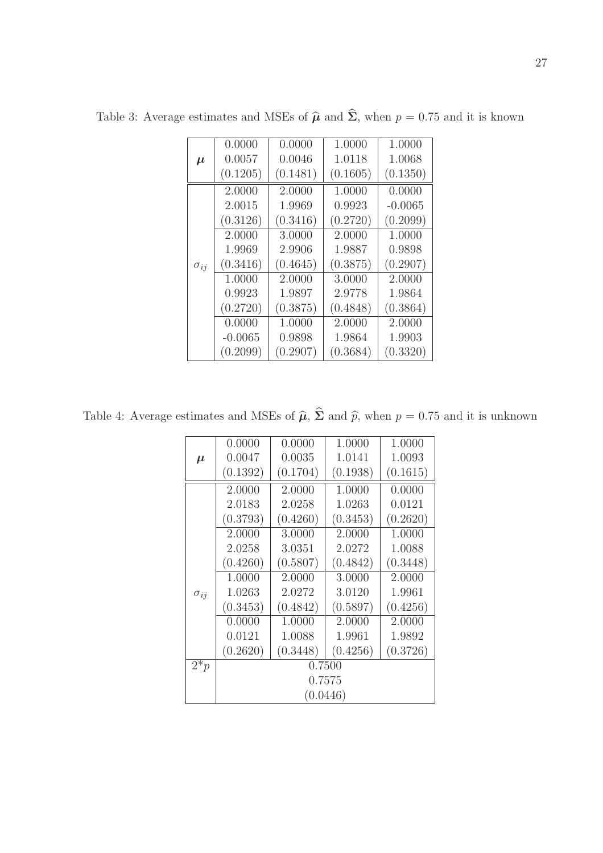|               | 0.0000    | 0.0000   | 1.0000   | 1.0000    |  |
|---------------|-----------|----------|----------|-----------|--|
| $\mu$         | 0.0057    | 0.0046   | 1.0118   | 1.0068    |  |
|               | (0.1205)  | (0.1481) | (0.1605) | (0.1350)  |  |
|               | 2.0000    | 2.0000   | 1.0000   | 0.0000    |  |
| $\sigma_{ij}$ | 2.0015    | 1.9969   | 0.9923   | $-0.0065$ |  |
|               | (0.3126)  | (0.3416) | (0.2720) | (0.2099)  |  |
|               | 2.0000    | 3.0000   | 2.0000   | 1.0000    |  |
|               | 1.9969    | 2.9906   | 1.9887   | 0.9898    |  |
|               | (0.3416)  | (0.4645) | (0.3875) | (0.2907)  |  |
|               | 1.0000    | 2.0000   | 3.0000   | 2.0000    |  |
|               | 0.9923    | 1.9897   | 2.9778   | 1.9864    |  |
|               | (0.2720)  | (0.3875) | (0.4848) | (0.3864)  |  |
|               | 0.0000    | 1.0000   | 2.0000   | 2.0000    |  |
|               | $-0.0065$ | 0.9898   | 1.9864   | 1.9903    |  |
|               | (0.2099)  | (0.2907) | (0.3684) | (0.3320)  |  |

Table 3: Average estimates and MSEs of  $\hat{\boldsymbol{\mu}}$  and  $\hat{\boldsymbol{\Sigma}}$ , when  $p = 0.75$  and it is known

Table 4: Average estimates and MSEs of  $\hat{\boldsymbol{\mu}}$ ,  $\hat{\boldsymbol{\Sigma}}$  and  $\hat{p}$ , when  $p = 0.75$  and it is unknown

|                   | 0.0000   | 0.0000   | 1.0000   | 1.0000   |  |  |
|-------------------|----------|----------|----------|----------|--|--|
| $\mu$             | 0.0047   | 0.0035   | 1.0141   | 1.0093   |  |  |
|                   | (0.1392) | (0.1704) | (0.1938) | (0.1615) |  |  |
|                   | 2.0000   | 2.0000   | 1.0000   | 0.0000   |  |  |
|                   | 2.0183   | 2.0258   | 1.0263   | 0.0121   |  |  |
|                   | (0.3793) | (0.4260) | (0.3453) | (0.2620) |  |  |
|                   | 2.0000   | 3.0000   | 2.0000   | 1.0000   |  |  |
|                   | 2.0258   | 3.0351   | 2.0272   | 1.0088   |  |  |
|                   | (0.4260) | (0.5807) | (0.4842) | (0.3448) |  |  |
|                   | 1.0000   | 2.0000   | 3.0000   | 2.0000   |  |  |
| $\sigma_{ij}$     | 1.0263   | 2.0272   | 3.0120   | 1.9961   |  |  |
|                   | (0.3453) | (0.4842) | (0.5897) | (0.4256) |  |  |
|                   | 0.0000   | 1.0000   | 2.0000   | 2.0000   |  |  |
|                   | 0.0121   | 1.0088   | 1.9961   | 1.9892   |  |  |
|                   | (0.2620) | (0.3448) | (0.4256) | (0.3726) |  |  |
| $\overline{2^*p}$ | 0.7500   |          |          |          |  |  |
|                   | 0.7575   |          |          |          |  |  |
|                   | (0.0446) |          |          |          |  |  |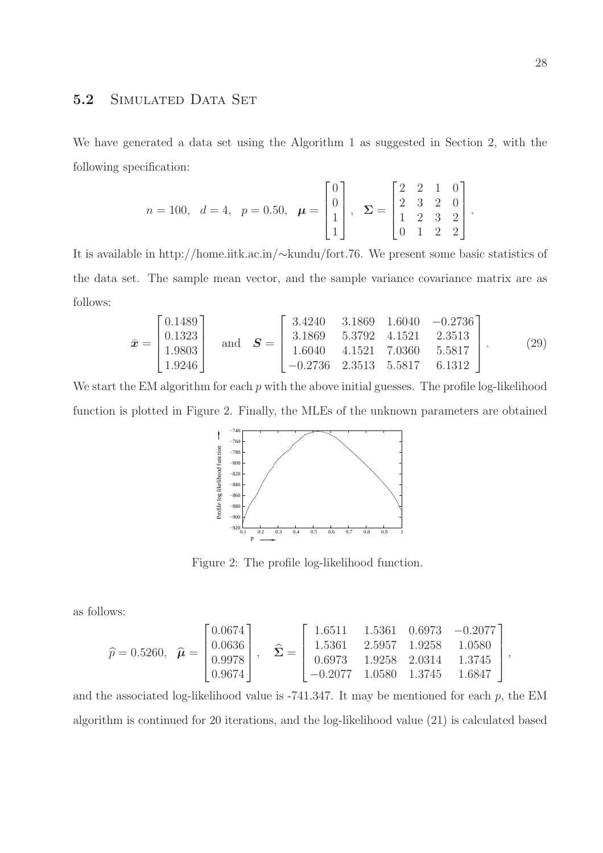#### 5.2 SIMULATED DATA SET

We have generated a data set using the Algorithm 1 as suggested in Section 2, with the following specification:

$$
n = 100
$$
,  $d = 4$ ,  $p = 0.50$ ,  $\boldsymbol{\mu} = \begin{bmatrix} 0 \\ 0 \\ 1 \\ 1 \end{bmatrix}$ ,  $\boldsymbol{\Sigma} = \begin{bmatrix} 2 & 2 & 1 & 0 \\ 2 & 3 & 2 & 0 \\ 1 & 2 & 3 & 2 \\ 0 & 1 & 2 & 2 \end{bmatrix}$ 

It is available in http://home.iitk.ac.in/∼kundu/fort.76. We present some basic statistics of the data set. The sample mean vector, and the sample variance covariance matrix are as follows:

$$
\bar{\boldsymbol{x}} = \begin{bmatrix} 0.1489 \\ 0.1323 \\ 1.9803 \\ 1.9246 \end{bmatrix} \text{ and } \boldsymbol{S} = \begin{bmatrix} 3.4240 & 3.1869 & 1.6040 & -0.2736 \\ 3.1869 & 5.3792 & 4.1521 & 2.3513 \\ 1.6040 & 4.1521 & 7.0360 & 5.5817 \\ -0.2736 & 2.3513 & 5.5817 & 6.1312 \end{bmatrix}.
$$
 (29)

We start the EM algorithm for each  $p$  with the above initial guesses. The profile log-likelihood function is plotted in Figure 2. Finally, the MLEs of the unknown parameters are obtained



Figure 2: The profile log-likelihood function.

as follows:

$$
\widehat{p} = 0.5260, \quad \widehat{\boldsymbol{\mu}} = \begin{bmatrix} 0.0674 \\ 0.0636 \\ 0.9978 \\ 0.9674 \end{bmatrix}, \quad \widehat{\boldsymbol{\Sigma}} = \begin{bmatrix} 1.6511 & 1.5361 & 0.6973 & -0.2077 \\ 1.5361 & 2.5957 & 1.9258 & 1.0580 \\ 0.6973 & 1.9258 & 2.0314 & 1.3745 \\ -0.2077 & 1.0580 & 1.3745 & 1.6847 \end{bmatrix},
$$

and the associated log-likelihood value is  $-741.347$ . It may be mentioned for each p, the EM algorithm is continued for 20 iterations, and the log-likelihood value (21) is calculated based

.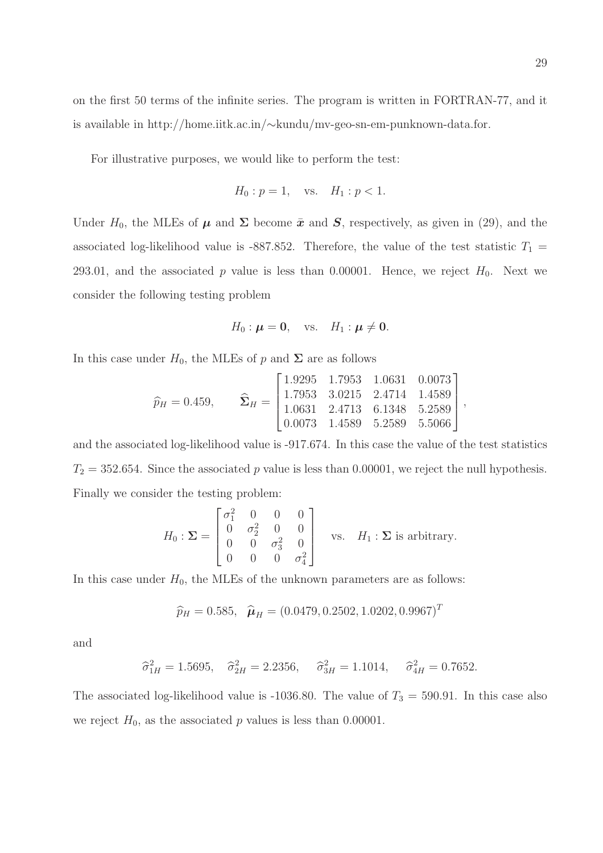on the first 50 terms of the infinite series. The program is written in FORTRAN-77, and it is available in http://home.iitk.ac.in/∼kundu/mv-geo-sn-em-punknown-data.for.

For illustrative purposes, we would like to perform the test:

$$
H_0: p = 1
$$
, vs.  $H_1: p < 1$ .

Under  $H_0$ , the MLEs of  $\mu$  and  $\Sigma$  become  $\bar{x}$  and  $S$ , respectively, as given in (29), and the associated log-likelihood value is -887.852. Therefore, the value of the test statistic  $T_1$  = 293.01, and the associated p value is less than 0.00001. Hence, we reject  $H_0$ . Next we consider the following testing problem

$$
H_0: \boldsymbol{\mu} = \mathbf{0}, \quad \text{vs.} \quad H_1: \boldsymbol{\mu} \neq \mathbf{0}.
$$

In this case under  $H_0$ , the MLEs of p and  $\Sigma$  are as follows

$$
\widehat{p}_H = 0.459, \qquad \widehat{\mathbf{\Sigma}}_H = \begin{bmatrix} 1.9295 & 1.7953 & 1.0631 & 0.0073 \\ 1.7953 & 3.0215 & 2.4714 & 1.4589 \\ 1.0631 & 2.4713 & 6.1348 & 5.2589 \\ 0.0073 & 1.4589 & 5.2589 & 5.5066 \end{bmatrix},
$$

and the associated log-likelihood value is -917.674. In this case the value of the test statistics  $T_2 = 352.654$ . Since the associated p value is less than 0.00001, we reject the null hypothesis. Finally we consider the testing problem:

$$
H_0: \Sigma = \begin{bmatrix} \sigma_1^2 & 0 & 0 & 0 \\ 0 & \sigma_2^2 & 0 & 0 \\ 0 & 0 & \sigma_3^2 & 0 \\ 0 & 0 & 0 & \sigma_4^2 \end{bmatrix} \text{ vs. } H_1: \Sigma \text{ is arbitrary.}
$$

In this case under  $H_0$ , the MLEs of the unknown parameters are as follows:

$$
\hat{p}_H = 0.585
$$
,  $\hat{\boldsymbol{\mu}}_H = (0.0479, 0.2502, 1.0202, 0.9967)^T$ 

and

$$
\hat{\sigma}_{1H}^2 = 1.5695
$$
,  $\hat{\sigma}_{2H}^2 = 2.2356$ ,  $\hat{\sigma}_{3H}^2 = 1.1014$ ,  $\hat{\sigma}_{4H}^2 = 0.7652$ .

The associated log-likelihood value is -1036.80. The value of  $T_3 = 590.91$ . In this case also we reject  $H_0$ , as the associated p values is less than 0.00001.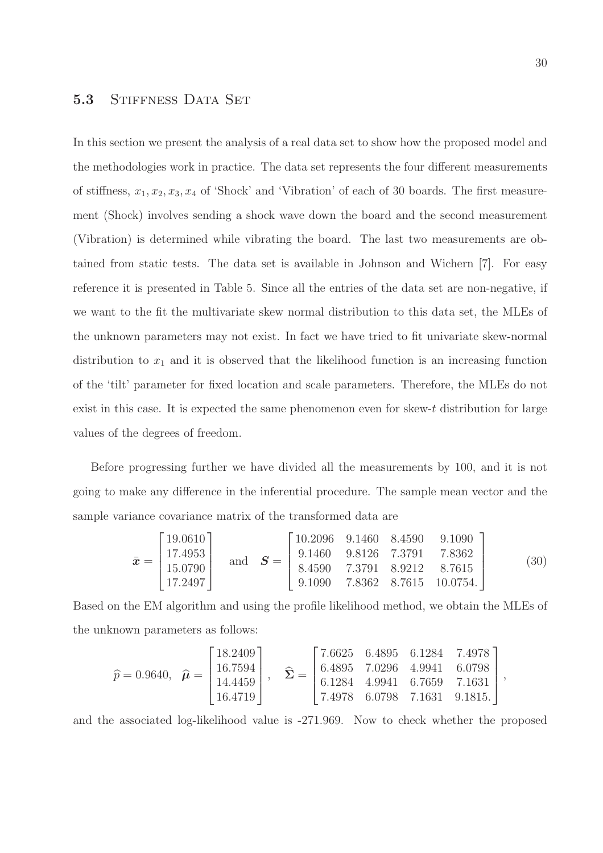#### 5.3 STIFFNESS DATA SET

In this section we present the analysis of a real data set to show how the proposed model and the methodologies work in practice. The data set represents the four different measurements of stiffness,  $x_1, x_2, x_3, x_4$  of 'Shock' and 'Vibration' of each of 30 boards. The first measurement (Shock) involves sending a shock wave down the board and the second measurement (Vibration) is determined while vibrating the board. The last two measurements are obtained from static tests. The data set is available in Johnson and Wichern [7]. For easy reference it is presented in Table 5. Since all the entries of the data set are non-negative, if we want to the fit the multivariate skew normal distribution to this data set, the MLEs of the unknown parameters may not exist. In fact we have tried to fit univariate skew-normal distribution to  $x_1$  and it is observed that the likelihood function is an increasing function of the 'tilt' parameter for fixed location and scale parameters. Therefore, the MLEs do not exist in this case. It is expected the same phenomenon even for skew- $t$  distribution for large values of the degrees of freedom.

Before progressing further we have divided all the measurements by 100, and it is not going to make any difference in the inferential procedure. The sample mean vector and the sample variance covariance matrix of the transformed data are

$$
\bar{\boldsymbol{x}} = \begin{bmatrix} 19.0610 \\ 17.4953 \\ 15.0790 \\ 17.2497 \end{bmatrix} \text{ and } \boldsymbol{S} = \begin{bmatrix} 10.2096 & 9.1460 & 8.4590 & 9.1090 \\ 9.1460 & 9.8126 & 7.3791 & 7.8362 \\ 8.4590 & 7.3791 & 8.9212 & 8.7615 \\ 9.1090 & 7.8362 & 8.7615 & 10.0754. \end{bmatrix}
$$
(30)

Based on the EM algorithm and using the profile likelihood method, we obtain the MLEs of the unknown parameters as follows:

$$
\widehat{p} = 0.9640, \quad \widehat{\boldsymbol{\mu}} = \begin{bmatrix} 18.2409 \\ 16.7594 \\ 14.4459 \\ 16.4719 \end{bmatrix}, \quad \widehat{\boldsymbol{\Sigma}} = \begin{bmatrix} 7.6625 & 6.4895 & 6.1284 & 7.4978 \\ 6.4895 & 7.0296 & 4.9941 & 6.0798 \\ 6.1284 & 4.9941 & 6.7659 & 7.1631 \\ 7.4978 & 6.0798 & 7.1631 & 9.1815. \end{bmatrix},
$$

and the associated log-likelihood value is -271.969. Now to check whether the proposed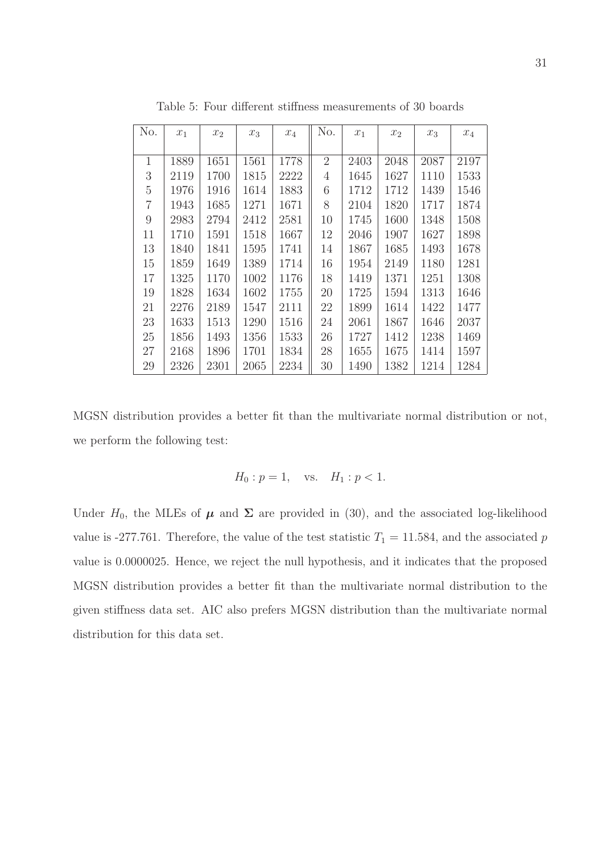| No.            | $x_1$ | $x_2$ | $x_3$ | $\mathcal{x}_4$ | No.            | $x_1$ | $x_2$ | $x_3$ | $x_4$ |
|----------------|-------|-------|-------|-----------------|----------------|-------|-------|-------|-------|
|                |       |       |       |                 |                |       |       |       |       |
| $\mathbf{1}$   | 1889  | 1651  | 1561  | 1778            | $\overline{2}$ | 2403  | 2048  | 2087  | 2197  |
| 3              | 2119  | 1700  | 1815  | 2222            | 4              | 1645  | 1627  | 1110  | 1533  |
| 5              | 1976  | 1916  | 1614  | 1883            | 6              | 1712  | 1712  | 1439  | 1546  |
| $\overline{7}$ | 1943  | 1685  | 1271  | 1671            | 8              | 2104  | 1820  | 1717  | 1874  |
| 9              | 2983  | 2794  | 2412  | 2581            | 10             | 1745  | 1600  | 1348  | 1508  |
| 11             | 1710  | 1591  | 1518  | 1667            | 12             | 2046  | 1907  | 1627  | 1898  |
| 13             | 1840  | 1841  | 1595  | 1741            | 14             | 1867  | 1685  | 1493  | 1678  |
| 15             | 1859  | 1649  | 1389  | 1714            | 16             | 1954  | 2149  | 1180  | 1281  |
| 17             | 1325  | 1170  | 1002  | 1176            | 18             | 1419  | 1371  | 1251  | 1308  |
| 19             | 1828  | 1634  | 1602  | 1755            | 20             | 1725  | 1594  | 1313  | 1646  |
| 21             | 2276  | 2189  | 1547  | 2111            | 22             | 1899  | 1614  | 1422  | 1477  |
| 23             | 1633  | 1513  | 1290  | 1516            | 24             | 2061  | 1867  | 1646  | 2037  |
| 25             | 1856  | 1493  | 1356  | 1533            | 26             | 1727  | 1412  | 1238  | 1469  |
| 27             | 2168  | 1896  | 1701  | 1834            | 28             | 1655  | 1675  | 1414  | 1597  |
| 29             | 2326  | 2301  | 2065  | 2234            | 30             | 1490  | 1382  | 1214  | 1284  |

Table 5: Four different stiffness measurements of 30 boards

MGSN distribution provides a better fit than the multivariate normal distribution or not, we perform the following test:

$$
H_0: p = 1
$$
, vs.  $H_1: p < 1$ .

Under  $H_0$ , the MLEs of  $\mu$  and  $\Sigma$  are provided in (30), and the associated log-likelihood value is -277.761. Therefore, the value of the test statistic  $T_1 = 11.584$ , and the associated p value is 0.0000025. Hence, we reject the null hypothesis, and it indicates that the proposed MGSN distribution provides a better fit than the multivariate normal distribution to the given stiffness data set. AIC also prefers MGSN distribution than the multivariate normal distribution for this data set.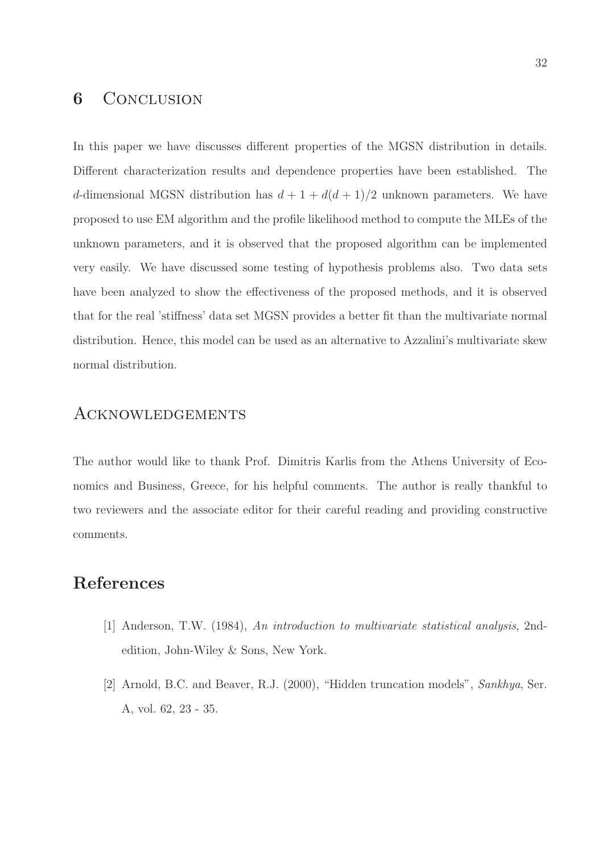### 6 CONCLUSION

In this paper we have discusses different properties of the MGSN distribution in details. Different characterization results and dependence properties have been established. The d-dimensional MGSN distribution has  $d + 1 + d(d + 1)/2$  unknown parameters. We have proposed to use EM algorithm and the profile likelihood method to compute the MLEs of the unknown parameters, and it is observed that the proposed algorithm can be implemented very easily. We have discussed some testing of hypothesis problems also. Two data sets have been analyzed to show the effectiveness of the proposed methods, and it is observed that for the real 'stiffness' data set MGSN provides a better fit than the multivariate normal distribution. Hence, this model can be used as an alternative to Azzalini's multivariate skew normal distribution.

#### Acknowledgements

The author would like to thank Prof. Dimitris Karlis from the Athens University of Economics and Business, Greece, for his helpful comments. The author is really thankful to two reviewers and the associate editor for their careful reading and providing constructive comments.

### References

- [1] Anderson, T.W. (1984), An introduction to multivariate statistical analysis, 2ndedition, John-Wiley & Sons, New York.
- [2] Arnold, B.C. and Beaver, R.J. (2000), "Hidden truncation models", Sankhya, Ser. A, vol. 62, 23 - 35.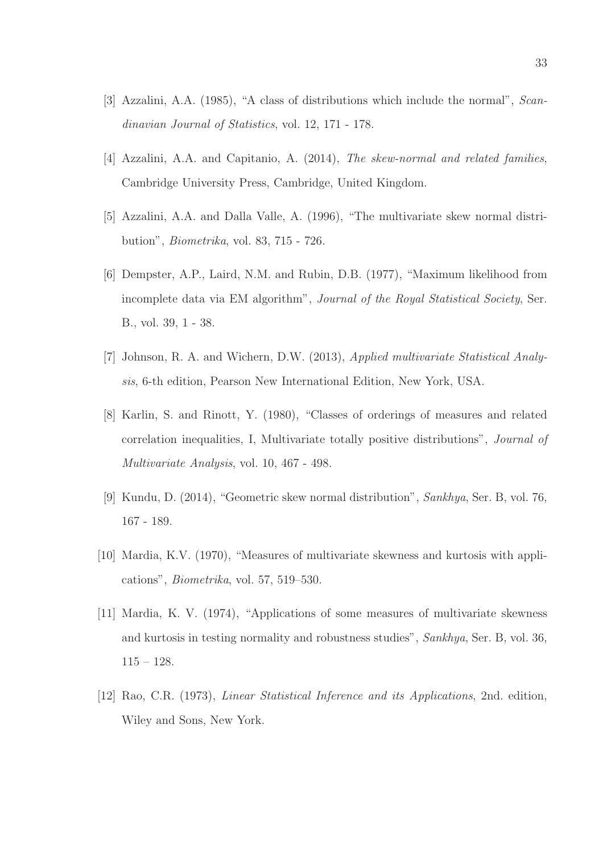- [3] Azzalini, A.A. (1985), "A class of distributions which include the normal", Scandinavian Journal of Statistics, vol. 12, 171 - 178.
- [4] Azzalini, A.A. and Capitanio, A. (2014), The skew-normal and related families, Cambridge University Press, Cambridge, United Kingdom.
- [5] Azzalini, A.A. and Dalla Valle, A. (1996), "The multivariate skew normal distribution", Biometrika, vol. 83, 715 - 726.
- [6] Dempster, A.P., Laird, N.M. and Rubin, D.B. (1977), "Maximum likelihood from incomplete data via EM algorithm", Journal of the Royal Statistical Society, Ser. B., vol. 39, 1 - 38.
- [7] Johnson, R. A. and Wichern, D.W. (2013), Applied multivariate Statistical Analysis, 6-th edition, Pearson New International Edition, New York, USA.
- [8] Karlin, S. and Rinott, Y. (1980), "Classes of orderings of measures and related correlation inequalities, I, Multivariate totally positive distributions", Journal of Multivariate Analysis, vol. 10, 467 - 498.
- [9] Kundu, D. (2014), "Geometric skew normal distribution", Sankhya, Ser. B, vol. 76, 167 - 189.
- [10] Mardia, K.V. (1970), "Measures of multivariate skewness and kurtosis with applications", Biometrika, vol. 57, 519–530.
- [11] Mardia, K. V. (1974), "Applications of some measures of multivariate skewness and kurtosis in testing normality and robustness studies", Sankhya, Ser. B, vol. 36, 115 – 128.
- [12] Rao, C.R. (1973), Linear Statistical Inference and its Applications, 2nd. edition, Wiley and Sons, New York.